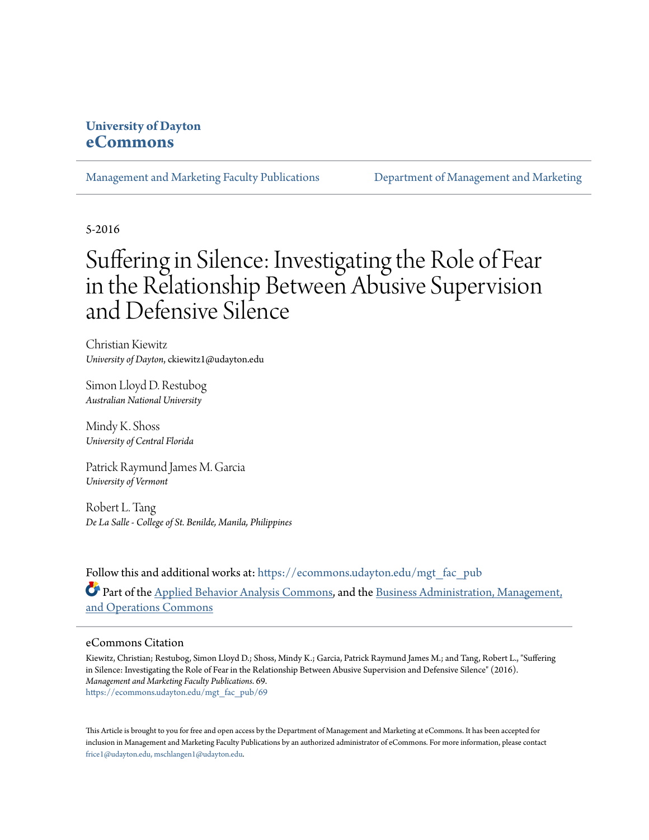### **University of Dayton [eCommons](https://ecommons.udayton.edu?utm_source=ecommons.udayton.edu%2Fmgt_fac_pub%2F69&utm_medium=PDF&utm_campaign=PDFCoverPages)**

[Management and Marketing Faculty Publications](https://ecommons.udayton.edu/mgt_fac_pub?utm_source=ecommons.udayton.edu%2Fmgt_fac_pub%2F69&utm_medium=PDF&utm_campaign=PDFCoverPages) [Department of Management and Marketing](https://ecommons.udayton.edu/mgt?utm_source=ecommons.udayton.edu%2Fmgt_fac_pub%2F69&utm_medium=PDF&utm_campaign=PDFCoverPages)

5-2016

# Suffering in Silence: Investigating the Role of Fear in the Relationship Between Abusive Supervision and Defensive Silence

Christian Kiewitz *University of Dayton*, ckiewitz1@udayton.edu

Simon Lloyd D. Restubog *Australian National University*

Mindy K. Shoss *University of Central Florida*

Patrick Raymund James M. Garcia *University of Vermont*

Robert L. Tang *De La Salle - College of St. Benilde, Manila, Philippines*

Follow this and additional works at: [https://ecommons.udayton.edu/mgt\\_fac\\_pub](https://ecommons.udayton.edu/mgt_fac_pub?utm_source=ecommons.udayton.edu%2Fmgt_fac_pub%2F69&utm_medium=PDF&utm_campaign=PDFCoverPages) Part of the [Applied Behavior Analysis Commons](http://network.bepress.com/hgg/discipline/1235?utm_source=ecommons.udayton.edu%2Fmgt_fac_pub%2F69&utm_medium=PDF&utm_campaign=PDFCoverPages), and the [Business Administration, Management,](http://network.bepress.com/hgg/discipline/623?utm_source=ecommons.udayton.edu%2Fmgt_fac_pub%2F69&utm_medium=PDF&utm_campaign=PDFCoverPages) [and Operations Commons](http://network.bepress.com/hgg/discipline/623?utm_source=ecommons.udayton.edu%2Fmgt_fac_pub%2F69&utm_medium=PDF&utm_campaign=PDFCoverPages)

#### eCommons Citation

Kiewitz, Christian; Restubog, Simon Lloyd D.; Shoss, Mindy K.; Garcia, Patrick Raymund James M.; and Tang, Robert L., "Suffering in Silence: Investigating the Role of Fear in the Relationship Between Abusive Supervision and Defensive Silence" (2016). *Management and Marketing Faculty Publications*. 69. [https://ecommons.udayton.edu/mgt\\_fac\\_pub/69](https://ecommons.udayton.edu/mgt_fac_pub/69?utm_source=ecommons.udayton.edu%2Fmgt_fac_pub%2F69&utm_medium=PDF&utm_campaign=PDFCoverPages)

This Article is brought to you for free and open access by the Department of Management and Marketing at eCommons. It has been accepted for inclusion in Management and Marketing Faculty Publications by an authorized administrator of eCommons. For more information, please contact [frice1@udayton.edu, mschlangen1@udayton.edu.](mailto:frice1@udayton.edu,%20mschlangen1@udayton.edu)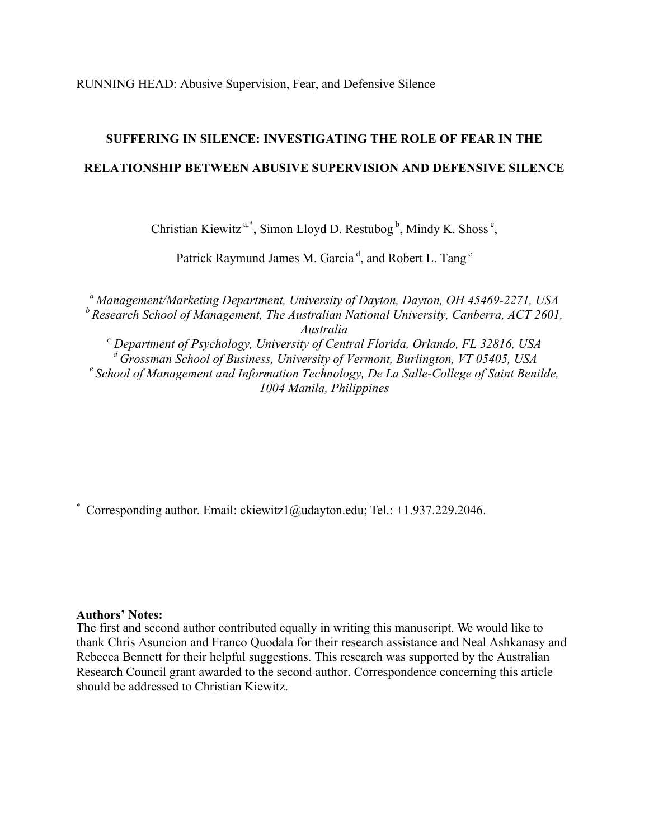RUNNING HEAD: Abusive Supervision, Fear, and Defensive Silence

## **SUFFERING IN SILENCE: INVESTIGATING THE ROLE OF FEAR IN THE RELATIONSHIP BETWEEN ABUSIVE SUPERVISION AND DEFENSIVE SILENCE**

Christian Kiewitz<sup>a,\*</sup>, Simon Lloyd D. Restubog<sup>b</sup>, Mindy K. Shoss<sup>c</sup>,

Patrick Raymund James M. Garcia<sup>d</sup>, and Robert L. Tang<sup>e</sup>

*a Management/Marketing Department, University of Dayton, Dayton, OH 45469-2271, USA b Research School of Management, The Australian National University, Canberra, ACT 2601,* 

*Australia*<br><sup>*c*</sup> *Department of Psychology, University of Central Florida, Orlando, FL 32816, USA*<br><sup>d</sup> Grossman School of Business, University of Vermont, Burlington, VT 05405, USA <sup>e</sup> School of Management and Information Technology, De La Salle-College of Saint Benilde, *1004 Manila, Philippines*

\* Corresponding author. Email: ckiewitz1@udayton.edu; Tel.: +1.937.229.2046.

#### **Authors' Notes:**

The first and second author contributed equally in writing this manuscript. We would like to thank Chris Asuncion and Franco Quodala for their research assistance and Neal Ashkanasy and Rebecca Bennett for their helpful suggestions. This research was supported by the Australian Research Council grant awarded to the second author. Correspondence concerning this article should be addressed to Christian Kiewitz.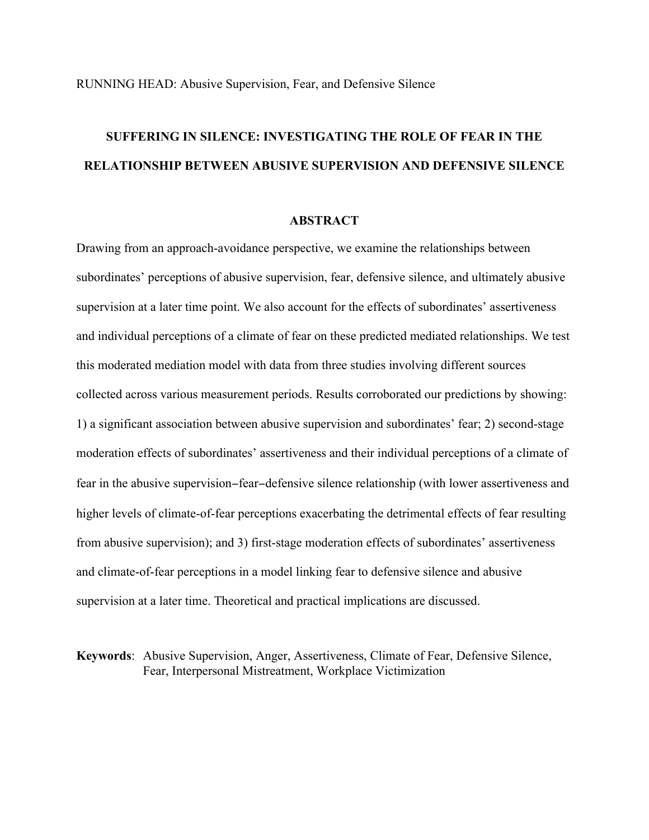## **SUFFERING IN SILENCE: INVESTIGATING THE ROLE OF FEAR IN THE RELATIONSHIP BETWEEN ABUSIVE SUPERVISION AND DEFENSIVE SILENCE**

#### **ABSTRACT**

Drawing from an approach-avoidance perspective, we examine the relationships between subordinates' perceptions of abusive supervision, fear, defensive silence, and ultimately abusive supervision at a later time point. We also account for the effects of subordinates' assertiveness and individual perceptions of a climate of fear on these predicted mediated relationships. We test this moderated mediation model with data from three studies involving different sources collected across various measurement periods. Results corroborated our predictions by showing: 1) a significant association between abusive supervision and subordinates' fear; 2) second-stage moderation effects of subordinates' assertiveness and their individual perceptions of a climate of fear in the abusive supervision–fear–defensive silence relationship (with lower assertiveness and higher levels of climate-of-fear perceptions exacerbating the detrimental effects of fear resulting from abusive supervision); and 3) first-stage moderation effects of subordinates' assertiveness and climate-of-fear perceptions in a model linking fear to defensive silence and abusive supervision at a later time. Theoretical and practical implications are discussed.

**Keywords**: Abusive Supervision, Anger, Assertiveness, Climate of Fear, Defensive Silence, Fear, Interpersonal Mistreatment, Workplace Victimization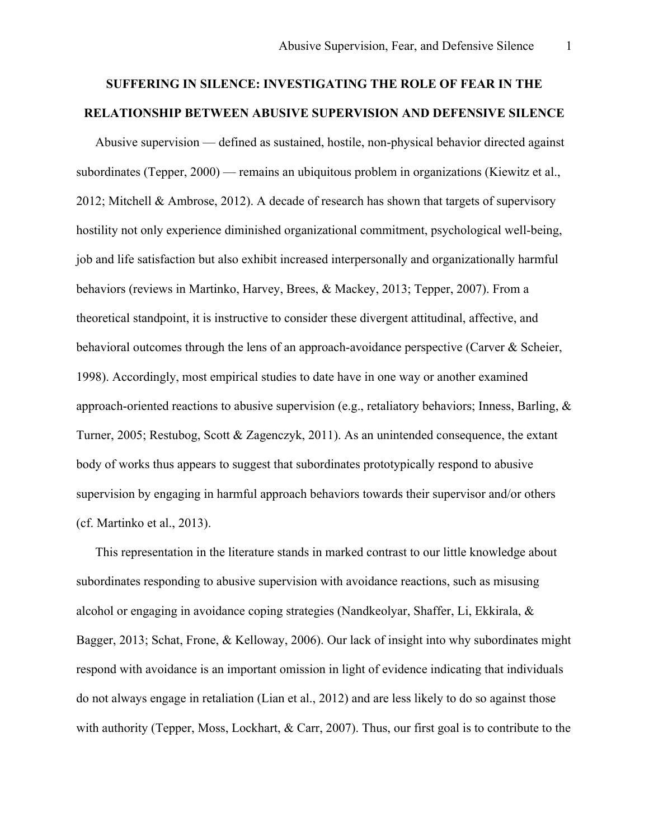## **SUFFERING IN SILENCE: INVESTIGATING THE ROLE OF FEAR IN THE RELATIONSHIP BETWEEN ABUSIVE SUPERVISION AND DEFENSIVE SILENCE**

Abusive supervision — defined as sustained, hostile, non-physical behavior directed against subordinates (Tepper, 2000) — remains an ubiquitous problem in organizations (Kiewitz et al., 2012; Mitchell & Ambrose, 2012). A decade of research has shown that targets of supervisory hostility not only experience diminished organizational commitment, psychological well-being, job and life satisfaction but also exhibit increased interpersonally and organizationally harmful behaviors (reviews in Martinko, Harvey, Brees, & Mackey, 2013; Tepper, 2007). From a theoretical standpoint, it is instructive to consider these divergent attitudinal, affective, and behavioral outcomes through the lens of an approach-avoidance perspective (Carver & Scheier, 1998). Accordingly, most empirical studies to date have in one way or another examined approach-oriented reactions to abusive supervision (e.g., retaliatory behaviors; Inness, Barling, & Turner, 2005; Restubog, Scott & Zagenczyk, 2011). As an unintended consequence, the extant body of works thus appears to suggest that subordinates prototypically respond to abusive supervision by engaging in harmful approach behaviors towards their supervisor and/or others (cf. Martinko et al., 2013).

This representation in the literature stands in marked contrast to our little knowledge about subordinates responding to abusive supervision with avoidance reactions, such as misusing alcohol or engaging in avoidance coping strategies (Nandkeolyar, Shaffer, Li, Ekkirala, & Bagger, 2013; Schat, Frone, & Kelloway, 2006). Our lack of insight into why subordinates might respond with avoidance is an important omission in light of evidence indicating that individuals do not always engage in retaliation (Lian et al., 2012) and are less likely to do so against those with authority (Tepper, Moss, Lockhart, & Carr, 2007). Thus, our first goal is to contribute to the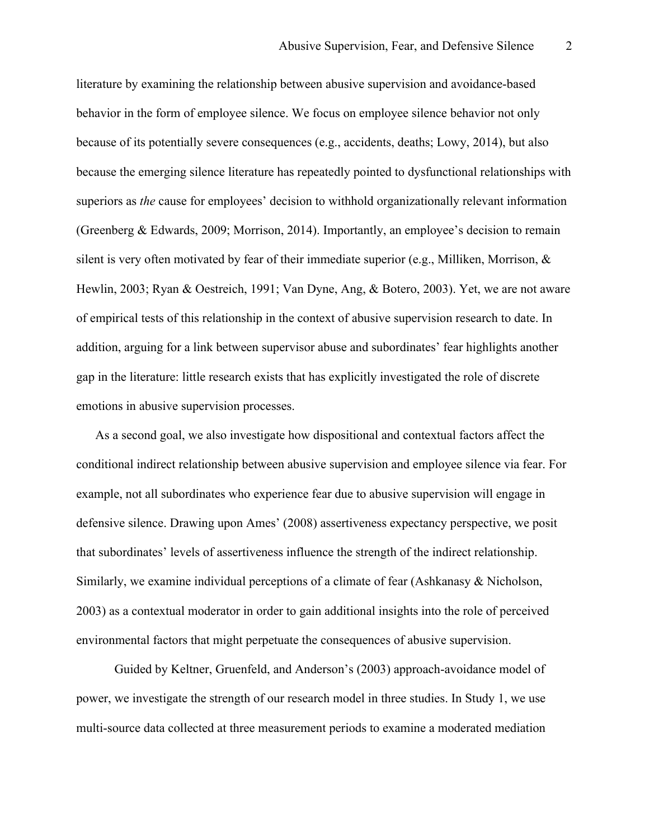literature by examining the relationship between abusive supervision and avoidance-based behavior in the form of employee silence. We focus on employee silence behavior not only because of its potentially severe consequences (e.g., accidents, deaths; Lowy, 2014), but also because the emerging silence literature has repeatedly pointed to dysfunctional relationships with superiors as *the* cause for employees' decision to withhold organizationally relevant information (Greenberg & Edwards, 2009; Morrison, 2014). Importantly, an employee's decision to remain silent is very often motivated by fear of their immediate superior (e.g., Milliken, Morrison, & Hewlin, 2003; Ryan & Oestreich, 1991; Van Dyne, Ang, & Botero, 2003). Yet, we are not aware of empirical tests of this relationship in the context of abusive supervision research to date. In addition, arguing for a link between supervisor abuse and subordinates' fear highlights another gap in the literature: little research exists that has explicitly investigated the role of discrete emotions in abusive supervision processes.

As a second goal, we also investigate how dispositional and contextual factors affect the conditional indirect relationship between abusive supervision and employee silence via fear. For example, not all subordinates who experience fear due to abusive supervision will engage in defensive silence. Drawing upon Ames' (2008) assertiveness expectancy perspective, we posit that subordinates' levels of assertiveness influence the strength of the indirect relationship. Similarly, we examine individual perceptions of a climate of fear (Ashkanasy & Nicholson, 2003) as a contextual moderator in order to gain additional insights into the role of perceived environmental factors that might perpetuate the consequences of abusive supervision.

Guided by Keltner, Gruenfeld, and Anderson's (2003) approach-avoidance model of power, we investigate the strength of our research model in three studies. In Study 1, we use multi-source data collected at three measurement periods to examine a moderated mediation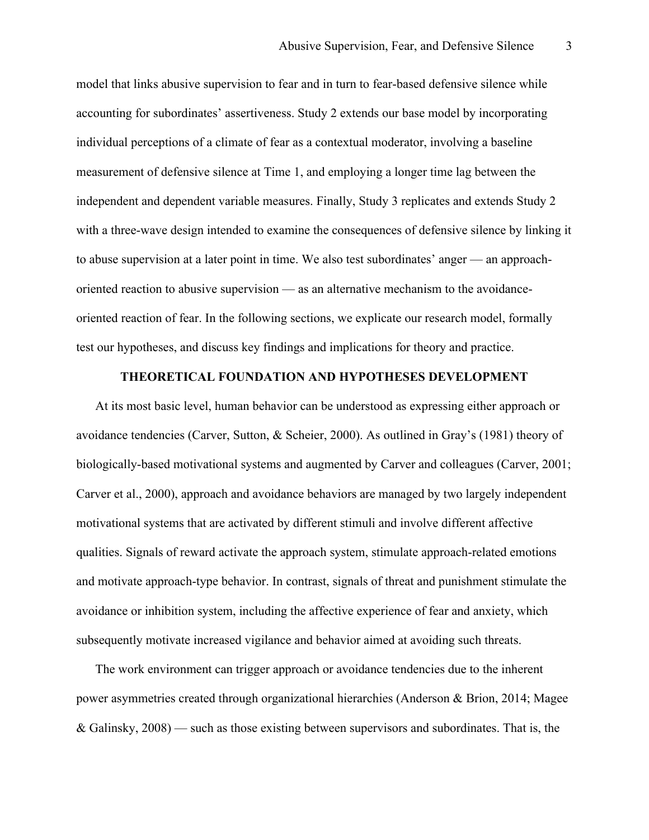model that links abusive supervision to fear and in turn to fear-based defensive silence while accounting for subordinates' assertiveness. Study 2 extends our base model by incorporating individual perceptions of a climate of fear as a contextual moderator, involving a baseline measurement of defensive silence at Time 1, and employing a longer time lag between the independent and dependent variable measures. Finally, Study 3 replicates and extends Study 2 with a three-wave design intended to examine the consequences of defensive silence by linking it to abuse supervision at a later point in time. We also test subordinates' anger — an approachoriented reaction to abusive supervision — as an alternative mechanism to the avoidanceoriented reaction of fear. In the following sections, we explicate our research model, formally test our hypotheses, and discuss key findings and implications for theory and practice.

#### **THEORETICAL FOUNDATION AND HYPOTHESES DEVELOPMENT**

At its most basic level, human behavior can be understood as expressing either approach or avoidance tendencies (Carver, Sutton, & Scheier, 2000). As outlined in Gray's (1981) theory of biologically-based motivational systems and augmented by Carver and colleagues (Carver, 2001; Carver et al., 2000), approach and avoidance behaviors are managed by two largely independent motivational systems that are activated by different stimuli and involve different affective qualities. Signals of reward activate the approach system, stimulate approach-related emotions and motivate approach-type behavior. In contrast, signals of threat and punishment stimulate the avoidance or inhibition system, including the affective experience of fear and anxiety, which subsequently motivate increased vigilance and behavior aimed at avoiding such threats.

The work environment can trigger approach or avoidance tendencies due to the inherent power asymmetries created through organizational hierarchies (Anderson & Brion, 2014; Magee & Galinsky, 2008) — such as those existing between supervisors and subordinates. That is, the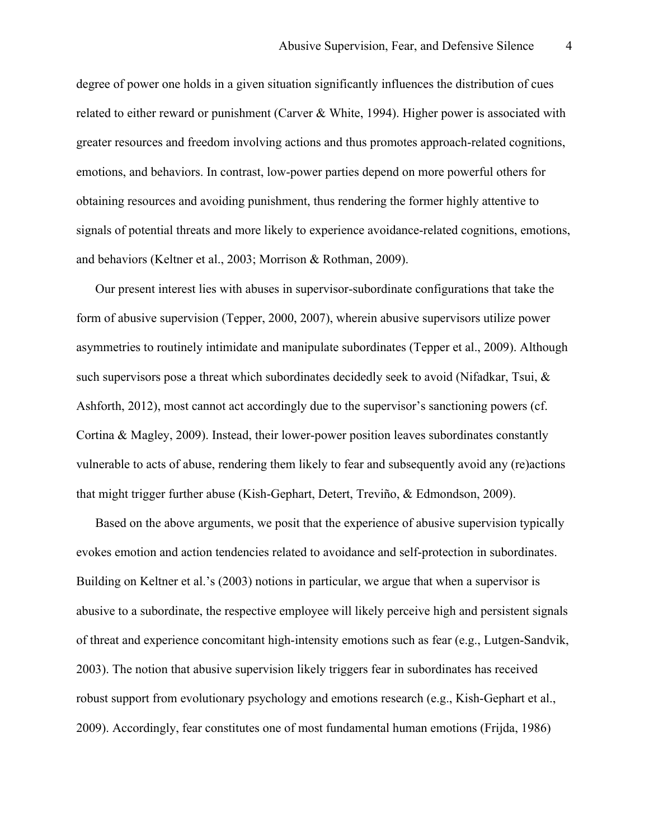degree of power one holds in a given situation significantly influences the distribution of cues related to either reward or punishment (Carver & White, 1994). Higher power is associated with greater resources and freedom involving actions and thus promotes approach-related cognitions, emotions, and behaviors. In contrast, low-power parties depend on more powerful others for obtaining resources and avoiding punishment, thus rendering the former highly attentive to signals of potential threats and more likely to experience avoidance-related cognitions, emotions, and behaviors (Keltner et al., 2003; Morrison & Rothman, 2009).

Our present interest lies with abuses in supervisor-subordinate configurations that take the form of abusive supervision (Tepper, 2000, 2007), wherein abusive supervisors utilize power asymmetries to routinely intimidate and manipulate subordinates (Tepper et al., 2009). Although such supervisors pose a threat which subordinates decidedly seek to avoid (Nifadkar, Tsui, & Ashforth, 2012), most cannot act accordingly due to the supervisor's sanctioning powers (cf. Cortina & Magley, 2009). Instead, their lower-power position leaves subordinates constantly vulnerable to acts of abuse, rendering them likely to fear and subsequently avoid any (re)actions that might trigger further abuse (Kish-Gephart, Detert, Treviño, & Edmondson, 2009).

Based on the above arguments, we posit that the experience of abusive supervision typically evokes emotion and action tendencies related to avoidance and self-protection in subordinates. Building on Keltner et al.'s (2003) notions in particular, we argue that when a supervisor is abusive to a subordinate, the respective employee will likely perceive high and persistent signals of threat and experience concomitant high-intensity emotions such as fear (e.g., Lutgen-Sandvik, 2003). The notion that abusive supervision likely triggers fear in subordinates has received robust support from evolutionary psychology and emotions research (e.g., Kish-Gephart et al., 2009). Accordingly, fear constitutes one of most fundamental human emotions (Frijda, 1986)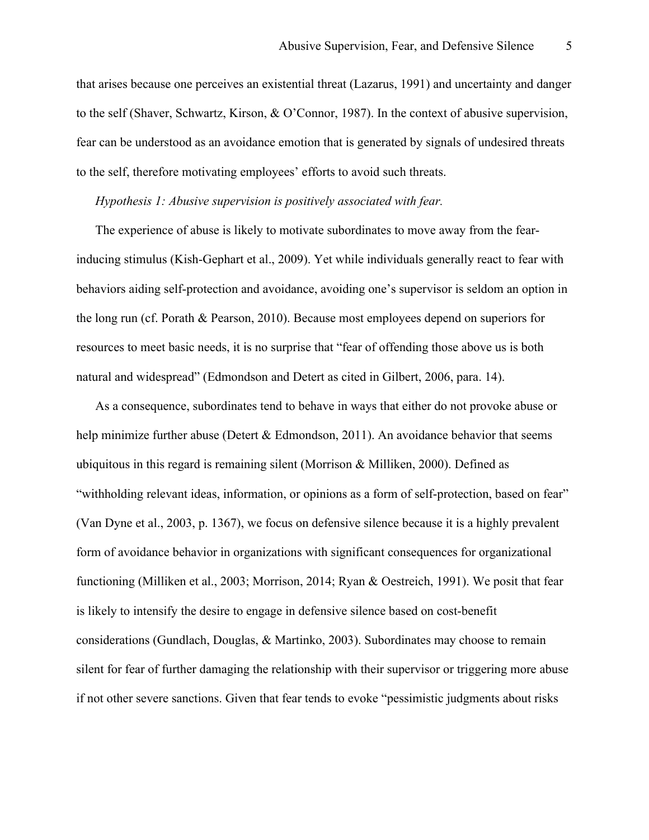that arises because one perceives an existential threat (Lazarus, 1991) and uncertainty and danger to the self (Shaver, Schwartz, Kirson, & O'Connor, 1987). In the context of abusive supervision, fear can be understood as an avoidance emotion that is generated by signals of undesired threats to the self, therefore motivating employees' efforts to avoid such threats.

#### *Hypothesis 1: Abusive supervision is positively associated with fear.*

The experience of abuse is likely to motivate subordinates to move away from the fearinducing stimulus (Kish-Gephart et al., 2009). Yet while individuals generally react to fear with behaviors aiding self-protection and avoidance, avoiding one's supervisor is seldom an option in the long run (cf. Porath & Pearson, 2010). Because most employees depend on superiors for resources to meet basic needs, it is no surprise that "fear of offending those above us is both natural and widespread" (Edmondson and Detert as cited in Gilbert, 2006, para. 14).

As a consequence, subordinates tend to behave in ways that either do not provoke abuse or help minimize further abuse (Detert & Edmondson, 2011). An avoidance behavior that seems ubiquitous in this regard is remaining silent (Morrison & Milliken, 2000). Defined as "withholding relevant ideas, information, or opinions as a form of self-protection, based on fear" (Van Dyne et al., 2003, p. 1367), we focus on defensive silence because it is a highly prevalent form of avoidance behavior in organizations with significant consequences for organizational functioning (Milliken et al., 2003; Morrison, 2014; Ryan & Oestreich, 1991). We posit that fear is likely to intensify the desire to engage in defensive silence based on cost-benefit considerations (Gundlach, Douglas, & Martinko, 2003). Subordinates may choose to remain silent for fear of further damaging the relationship with their supervisor or triggering more abuse if not other severe sanctions. Given that fear tends to evoke "pessimistic judgments about risks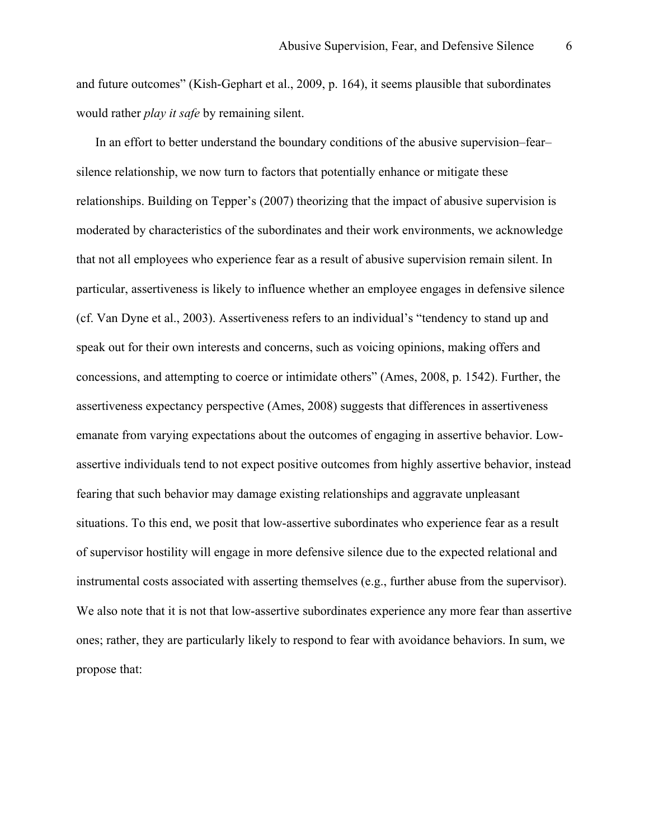and future outcomes" (Kish-Gephart et al., 2009, p. 164), it seems plausible that subordinates would rather *play it safe* by remaining silent.

In an effort to better understand the boundary conditions of the abusive supervision–fear– silence relationship, we now turn to factors that potentially enhance or mitigate these relationships. Building on Tepper's (2007) theorizing that the impact of abusive supervision is moderated by characteristics of the subordinates and their work environments, we acknowledge that not all employees who experience fear as a result of abusive supervision remain silent. In particular, assertiveness is likely to influence whether an employee engages in defensive silence (cf. Van Dyne et al., 2003). Assertiveness refers to an individual's "tendency to stand up and speak out for their own interests and concerns, such as voicing opinions, making offers and concessions, and attempting to coerce or intimidate others" (Ames, 2008, p. 1542). Further, the assertiveness expectancy perspective (Ames, 2008) suggests that differences in assertiveness emanate from varying expectations about the outcomes of engaging in assertive behavior. Lowassertive individuals tend to not expect positive outcomes from highly assertive behavior, instead fearing that such behavior may damage existing relationships and aggravate unpleasant situations. To this end, we posit that low-assertive subordinates who experience fear as a result of supervisor hostility will engage in more defensive silence due to the expected relational and instrumental costs associated with asserting themselves (e.g., further abuse from the supervisor). We also note that it is not that low-assertive subordinates experience any more fear than assertive ones; rather, they are particularly likely to respond to fear with avoidance behaviors. In sum, we propose that: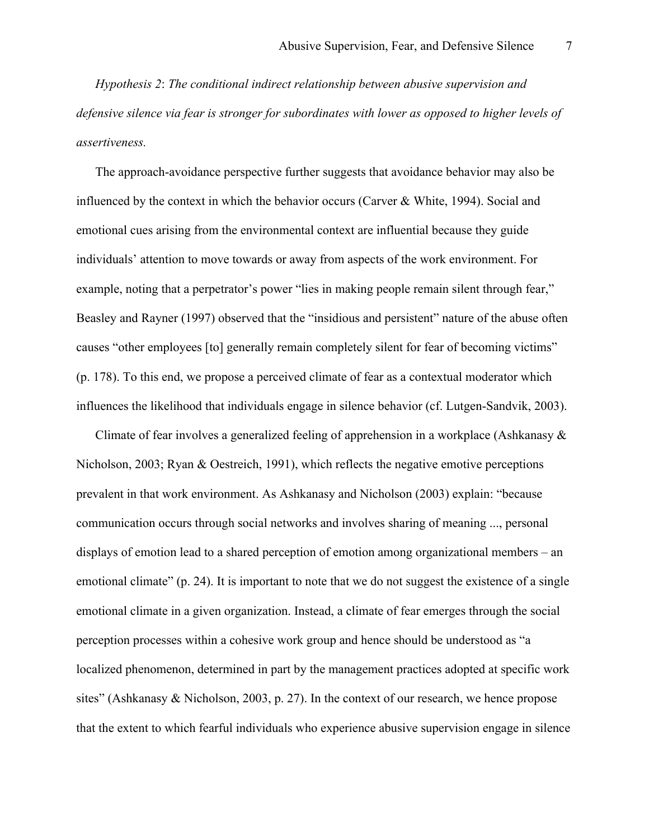*Hypothesis 2*: *The conditional indirect relationship between abusive supervision and defensive silence via fear is stronger for subordinates with lower as opposed to higher levels of assertiveness.*

The approach-avoidance perspective further suggests that avoidance behavior may also be influenced by the context in which the behavior occurs (Carver & White, 1994). Social and emotional cues arising from the environmental context are influential because they guide individuals' attention to move towards or away from aspects of the work environment. For example, noting that a perpetrator's power "lies in making people remain silent through fear," Beasley and Rayner (1997) observed that the "insidious and persistent" nature of the abuse often causes "other employees [to] generally remain completely silent for fear of becoming victims" (p. 178). To this end, we propose a perceived climate of fear as a contextual moderator which influences the likelihood that individuals engage in silence behavior (cf. Lutgen-Sandvik, 2003).

Climate of fear involves a generalized feeling of apprehension in a workplace (Ashkanasy & Nicholson, 2003; Ryan & Oestreich, 1991), which reflects the negative emotive perceptions prevalent in that work environment. As Ashkanasy and Nicholson (2003) explain: "because communication occurs through social networks and involves sharing of meaning ..., personal displays of emotion lead to a shared perception of emotion among organizational members – an emotional climate" (p. 24). It is important to note that we do not suggest the existence of a single emotional climate in a given organization. Instead, a climate of fear emerges through the social perception processes within a cohesive work group and hence should be understood as "a localized phenomenon, determined in part by the management practices adopted at specific work sites" (Ashkanasy & Nicholson, 2003, p. 27). In the context of our research, we hence propose that the extent to which fearful individuals who experience abusive supervision engage in silence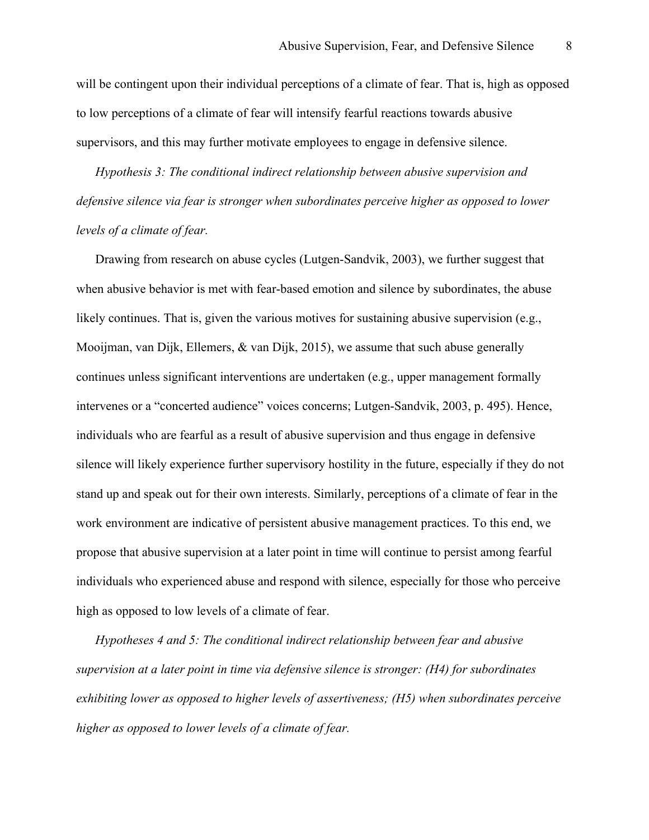will be contingent upon their individual perceptions of a climate of fear. That is, high as opposed to low perceptions of a climate of fear will intensify fearful reactions towards abusive supervisors, and this may further motivate employees to engage in defensive silence.

*Hypothesis 3: The conditional indirect relationship between abusive supervision and defensive silence via fear is stronger when subordinates perceive higher as opposed to lower levels of a climate of fear.*

Drawing from research on abuse cycles (Lutgen-Sandvik, 2003), we further suggest that when abusive behavior is met with fear-based emotion and silence by subordinates, the abuse likely continues. That is, given the various motives for sustaining abusive supervision (e.g., Mooijman, van Dijk, Ellemers, & van Dijk, 2015), we assume that such abuse generally continues unless significant interventions are undertaken (e.g., upper management formally intervenes or a "concerted audience" voices concerns; Lutgen-Sandvik, 2003, p. 495). Hence, individuals who are fearful as a result of abusive supervision and thus engage in defensive silence will likely experience further supervisory hostility in the future, especially if they do not stand up and speak out for their own interests. Similarly, perceptions of a climate of fear in the work environment are indicative of persistent abusive management practices. To this end, we propose that abusive supervision at a later point in time will continue to persist among fearful individuals who experienced abuse and respond with silence, especially for those who perceive high as opposed to low levels of a climate of fear.

*Hypotheses 4 and 5: The conditional indirect relationship between fear and abusive supervision at a later point in time via defensive silence is stronger: (H4) for subordinates exhibiting lower as opposed to higher levels of assertiveness; (H5) when subordinates perceive higher as opposed to lower levels of a climate of fear.*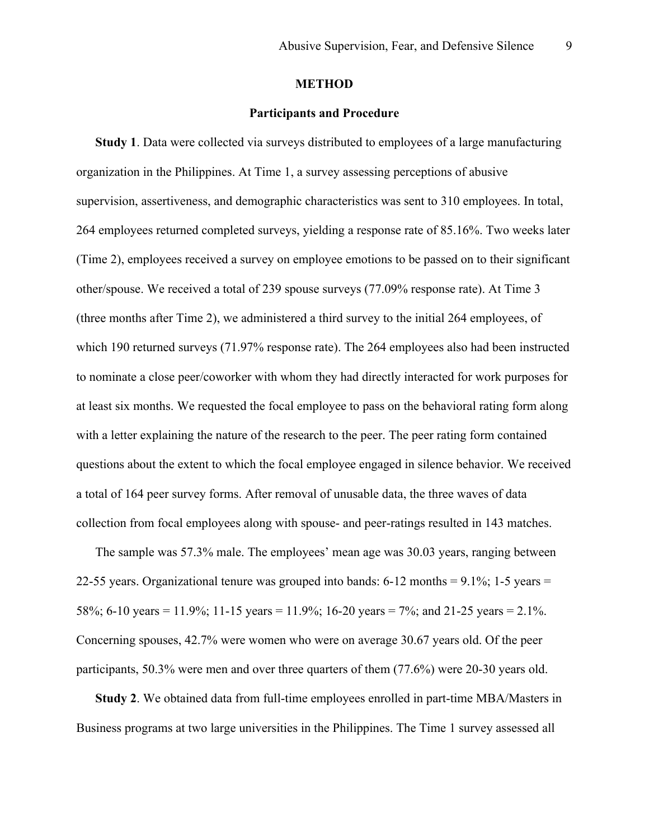#### **METHOD**

#### **Participants and Procedure**

**Study 1**. Data were collected via surveys distributed to employees of a large manufacturing organization in the Philippines. At Time 1, a survey assessing perceptions of abusive supervision, assertiveness, and demographic characteristics was sent to 310 employees. In total, 264 employees returned completed surveys, yielding a response rate of 85.16%. Two weeks later (Time 2), employees received a survey on employee emotions to be passed on to their significant other/spouse. We received a total of 239 spouse surveys (77.09% response rate). At Time 3 (three months after Time 2), we administered a third survey to the initial 264 employees, of which 190 returned surveys (71.97% response rate). The 264 employees also had been instructed to nominate a close peer/coworker with whom they had directly interacted for work purposes for at least six months. We requested the focal employee to pass on the behavioral rating form along with a letter explaining the nature of the research to the peer. The peer rating form contained questions about the extent to which the focal employee engaged in silence behavior. We received a total of 164 peer survey forms. After removal of unusable data, the three waves of data collection from focal employees along with spouse- and peer-ratings resulted in 143 matches.

The sample was 57.3% male. The employees' mean age was 30.03 years, ranging between 22-55 years. Organizational tenure was grouped into bands: 6-12 months = 9.1%; 1-5 years = 58%; 6-10 years = 11.9%; 11-15 years = 11.9%; 16-20 years = 7%; and 21-25 years = 2.1%. Concerning spouses, 42.7% were women who were on average 30.67 years old. Of the peer participants, 50.3% were men and over three quarters of them (77.6%) were 20-30 years old.

**Study 2**. We obtained data from full-time employees enrolled in part-time MBA/Masters in Business programs at two large universities in the Philippines. The Time 1 survey assessed all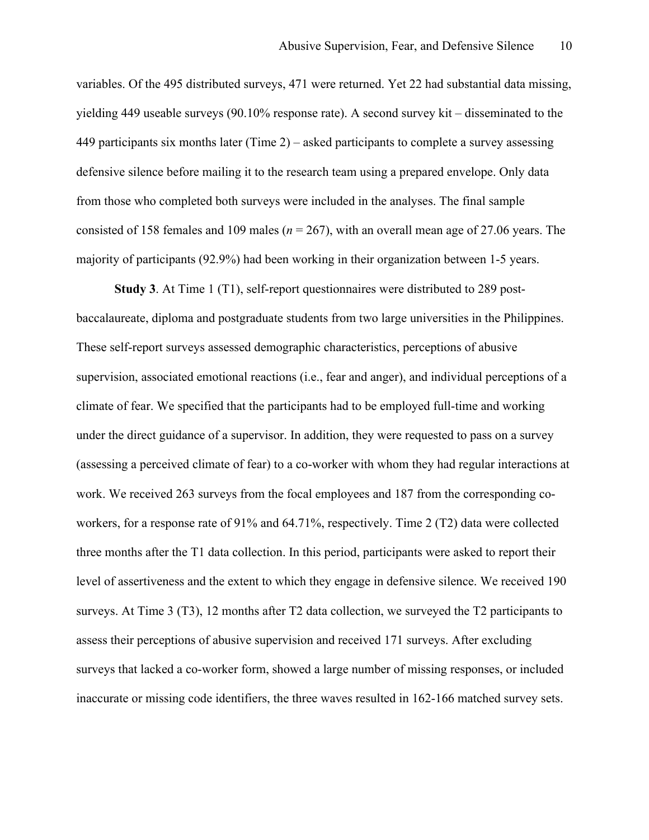variables. Of the 495 distributed surveys, 471 were returned. Yet 22 had substantial data missing, yielding 449 useable surveys (90.10% response rate). A second survey kit – disseminated to the 449 participants six months later (Time 2) – asked participants to complete a survey assessing defensive silence before mailing it to the research team using a prepared envelope. Only data from those who completed both surveys were included in the analyses. The final sample consisted of 158 females and 109 males (*n* = 267), with an overall mean age of 27.06 years. The majority of participants (92.9%) had been working in their organization between 1-5 years.

**Study 3**. At Time 1 (T1), self-report questionnaires were distributed to 289 postbaccalaureate, diploma and postgraduate students from two large universities in the Philippines. These self-report surveys assessed demographic characteristics, perceptions of abusive supervision, associated emotional reactions (i.e., fear and anger), and individual perceptions of a climate of fear. We specified that the participants had to be employed full-time and working under the direct guidance of a supervisor. In addition, they were requested to pass on a survey (assessing a perceived climate of fear) to a co-worker with whom they had regular interactions at work. We received 263 surveys from the focal employees and 187 from the corresponding coworkers, for a response rate of 91% and 64.71%, respectively. Time 2 (T2) data were collected three months after the T1 data collection. In this period, participants were asked to report their level of assertiveness and the extent to which they engage in defensive silence. We received 190 surveys. At Time 3 (T3), 12 months after T2 data collection, we surveyed the T2 participants to assess their perceptions of abusive supervision and received 171 surveys. After excluding surveys that lacked a co-worker form, showed a large number of missing responses, or included inaccurate or missing code identifiers, the three waves resulted in 162-166 matched survey sets.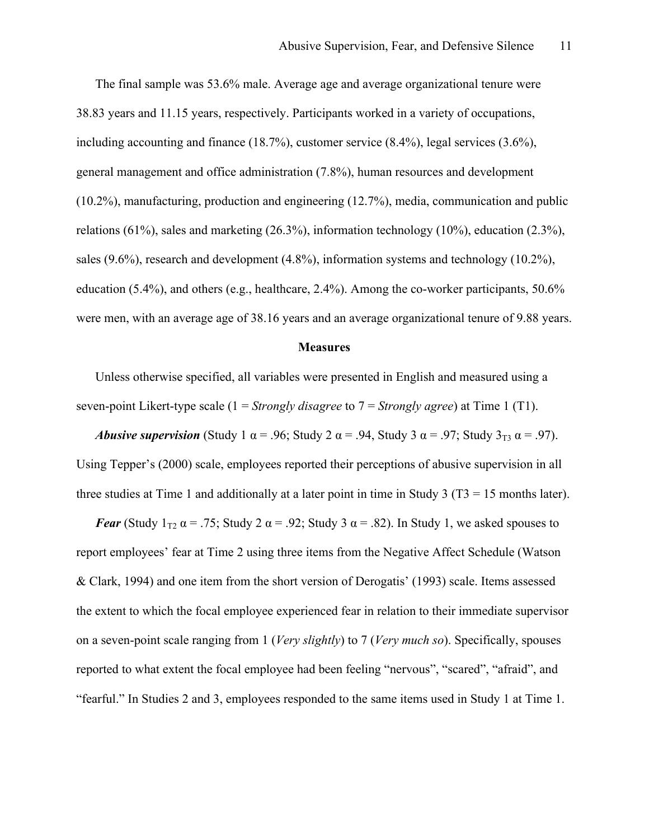The final sample was 53.6% male. Average age and average organizational tenure were 38.83 years and 11.15 years, respectively. Participants worked in a variety of occupations, including accounting and finance (18.7%), customer service (8.4%), legal services (3.6%), general management and office administration (7.8%), human resources and development (10.2%), manufacturing, production and engineering (12.7%), media, communication and public relations (61%), sales and marketing (26.3%), information technology (10%), education (2.3%), sales (9.6%), research and development (4.8%), information systems and technology (10.2%), education (5.4%), and others (e.g., healthcare, 2.4%). Among the co-worker participants, 50.6% were men, with an average age of 38.16 years and an average organizational tenure of 9.88 years.

#### **Measures**

Unless otherwise specified, all variables were presented in English and measured using a seven-point Likert-type scale (1 = *Strongly disagree* to 7 = *Strongly agree*) at Time 1 (T1).

*Abusive supervision* (Study 1  $\alpha$  = .96; Study 2  $\alpha$  = .94, Study 3  $\alpha$  = .97; Study 3<sub>T3</sub>  $\alpha$  = .97). Using Tepper's (2000) scale, employees reported their perceptions of abusive supervision in all three studies at Time 1 and additionally at a later point in time in Study 3 ( $T3 = 15$  months later).

*Fear* (Study  $1_{T2}$   $\alpha$  = .75; Study 2  $\alpha$  = .92; Study 3  $\alpha$  = .82). In Study 1, we asked spouses to report employees' fear at Time 2 using three items from the Negative Affect Schedule (Watson & Clark, 1994) and one item from the short version of Derogatis' (1993) scale. Items assessed the extent to which the focal employee experienced fear in relation to their immediate supervisor on a seven-point scale ranging from 1 (*Very slightly*) to 7 (*Very much so*). Specifically, spouses reported to what extent the focal employee had been feeling "nervous", "scared", "afraid", and "fearful." In Studies 2 and 3, employees responded to the same items used in Study 1 at Time 1.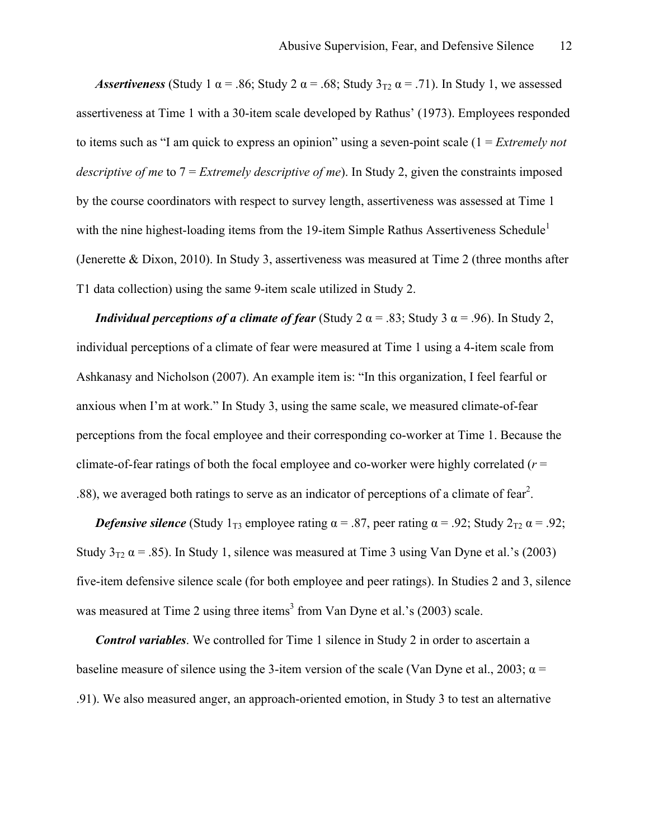*Assertiveness* (Study 1  $\alpha$  = .86; Study 2  $\alpha$  = .68; Study 3<sub>T2</sub>  $\alpha$  = .71). In Study 1, we assessed assertiveness at Time 1 with a 30-item scale developed by Rathus' (1973). Employees responded to items such as "I am quick to express an opinion" using a seven-point scale (1 = *Extremely not descriptive of me* to 7 = *Extremely descriptive of me*). In Study 2, given the constraints imposed by the course coordinators with respect to survey length, assertiveness was assessed at Time 1 with the nine highest-loading items from the 19-item Simple Rathus Assertiveness Schedule<sup>1</sup> (Jenerette & Dixon, 2010). In Study 3, assertiveness was measured at Time 2 (three months after T1 data collection) using the same 9-item scale utilized in Study 2.

*Individual perceptions of a climate of fear* (Study 2  $\alpha$  = .83; Study 3  $\alpha$  = .96). In Study 2, individual perceptions of a climate of fear were measured at Time 1 using a 4-item scale from Ashkanasy and Nicholson (2007). An example item is: "In this organization, I feel fearful or anxious when I'm at work." In Study 3, using the same scale, we measured climate-of-fear perceptions from the focal employee and their corresponding co-worker at Time 1. Because the climate-of-fear ratings of both the focal employee and co-worker were highly correlated (*r* = .88), we averaged both ratings to serve as an indicator of perceptions of a climate of fear<sup>2</sup>.

*Defensive silence* (Study  $1_{T3}$  employee rating  $\alpha = .87$ , peer rating  $\alpha = .92$ ; Study  $2_{T2} \alpha = .92$ ; Study  $3_{T2}$   $\alpha$  = .85). In Study 1, silence was measured at Time 3 using Van Dyne et al.'s (2003) five-item defensive silence scale (for both employee and peer ratings). In Studies 2 and 3, silence was measured at Time 2 using three items<sup>3</sup> from Van Dyne et al.'s (2003) scale.

*Control variables*. We controlled for Time 1 silence in Study 2 in order to ascertain a baseline measure of silence using the 3-item version of the scale (Van Dyne et al., 2003;  $\alpha$  = .91). We also measured anger, an approach-oriented emotion, in Study 3 to test an alternative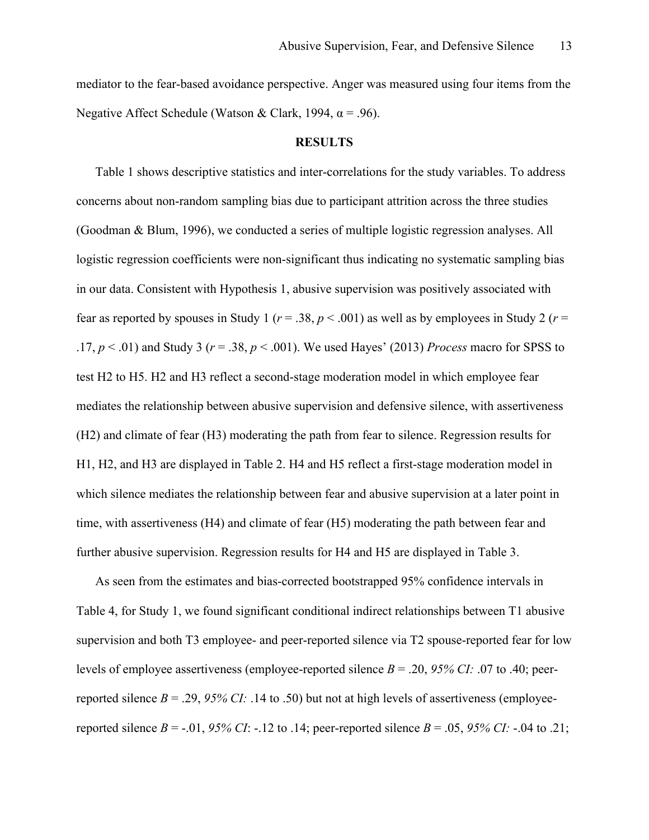mediator to the fear-based avoidance perspective. Anger was measured using four items from the Negative Affect Schedule (Watson & Clark, 1994,  $\alpha$  = .96).

#### **RESULTS**

Table 1 shows descriptive statistics and inter-correlations for the study variables. To address concerns about non-random sampling bias due to participant attrition across the three studies (Goodman & Blum, 1996), we conducted a series of multiple logistic regression analyses. All logistic regression coefficients were non-significant thus indicating no systematic sampling bias in our data. Consistent with Hypothesis 1, abusive supervision was positively associated with fear as reported by spouses in Study 1 ( $r = .38$ ,  $p < .001$ ) as well as by employees in Study 2 ( $r =$ .17, *p* < .01) and Study 3 (*r* = .38, *p* < .001). We used Hayes' (2013) *Process* macro for SPSS to test H2 to H5. H2 and H3 reflect a second-stage moderation model in which employee fear mediates the relationship between abusive supervision and defensive silence, with assertiveness (H2) and climate of fear (H3) moderating the path from fear to silence. Regression results for H1, H2, and H3 are displayed in Table 2. H4 and H5 reflect a first-stage moderation model in which silence mediates the relationship between fear and abusive supervision at a later point in time, with assertiveness (H4) and climate of fear (H5) moderating the path between fear and further abusive supervision. Regression results for H4 and H5 are displayed in Table 3.

As seen from the estimates and bias-corrected bootstrapped 95% confidence intervals in Table 4, for Study 1, we found significant conditional indirect relationships between T1 abusive supervision and both T3 employee- and peer-reported silence via T2 spouse-reported fear for low levels of employee assertiveness (employee-reported silence *B* = .20, *95% CI:* .07 to .40; peerreported silence  $B = .29, 95\%$  CI:  $.14$  to  $.50$ ) but not at high levels of assertiveness (employeereported silence *B* = -.01, *95% CI*: -.12 to .14; peer-reported silence *B* = .05, *95% CI*: -.04 to .21;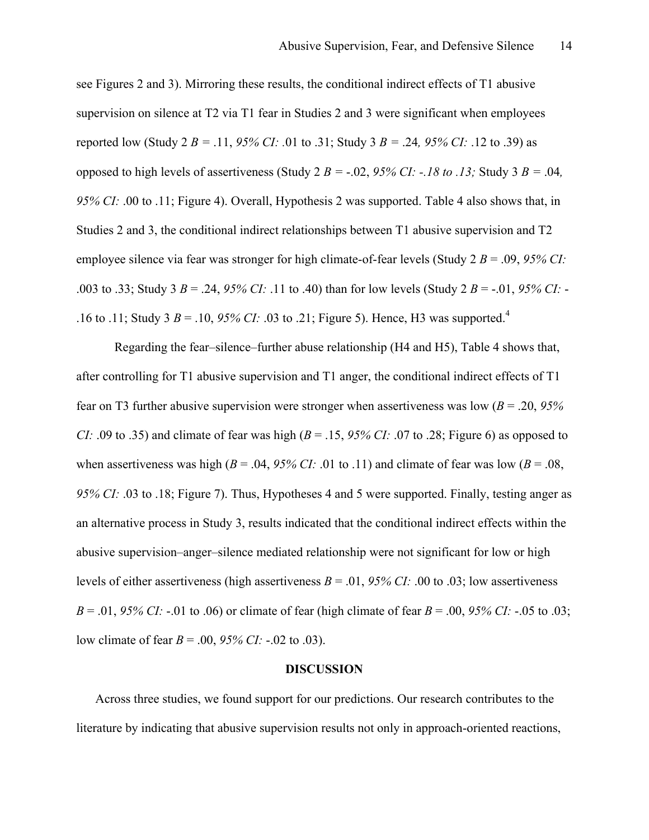see Figures 2 and 3). Mirroring these results, the conditional indirect effects of T1 abusive supervision on silence at T2 via T1 fear in Studies 2 and 3 were significant when employees reported low (Study 2 *B* = .11, 95% CI: .01 to .31; Study 3 *B* = .24, 95% CI: .12 to .39) as opposed to high levels of assertiveness (Study 2  $B = -.02$ , 95% CI:  $-18$  to .13; Study 3  $B = .04$ , *95% CI:* .00 to .11; Figure 4). Overall, Hypothesis 2 was supported. Table 4 also shows that, in Studies 2 and 3, the conditional indirect relationships between T1 abusive supervision and T2 employee silence via fear was stronger for high climate-of-fear levels (Study 2 *B* = .09, *95% CI:* .003 to .33; Study 3 *B* = .24, *95% CI:* .11 to .40) than for low levels (Study 2 *B* = -.01, *95% CI:* - .16 to .11; Study 3  $B = 0.10$ , 95% CI: 0.03 to .21; Figure 5). Hence, H3 was supported.<sup>4</sup>

Regarding the fear–silence–further abuse relationship (H4 and H5), Table 4 shows that, after controlling for T1 abusive supervision and T1 anger, the conditional indirect effects of T1 fear on T3 further abusive supervision were stronger when assertiveness was low (*B* = .20, *95% CI:* .09 to .35) and climate of fear was high ( $B = 0.15$ ,  $95\%$  *CI:* .07 to .28; Figure 6) as opposed to when assertiveness was high ( $B = .04, 95\%$  CI: .01 to .11) and climate of fear was low ( $B = .08$ , *95% CI:* .03 to .18; Figure 7). Thus, Hypotheses 4 and 5 were supported. Finally, testing anger as an alternative process in Study 3, results indicated that the conditional indirect effects within the abusive supervision–anger–silence mediated relationship were not significant for low or high levels of either assertiveness (high assertiveness *B* = .01, *95% CI:* .00 to .03; low assertiveness *B* = .01, *95% CI:* -.01 to .06) or climate of fear (high climate of fear *B* = .00, *95% CI:* -.05 to .03; low climate of fear *B* = .00, *95% CI:* -.02 to .03).

#### **DISCUSSION**

Across three studies, we found support for our predictions. Our research contributes to the literature by indicating that abusive supervision results not only in approach-oriented reactions,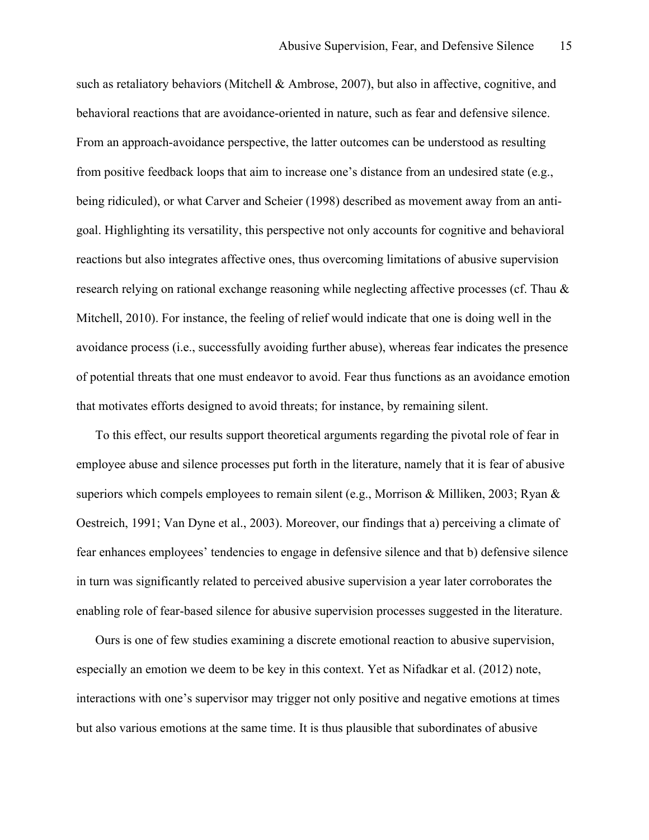such as retaliatory behaviors (Mitchell  $\&$  Ambrose, 2007), but also in affective, cognitive, and behavioral reactions that are avoidance-oriented in nature, such as fear and defensive silence. From an approach-avoidance perspective, the latter outcomes can be understood as resulting from positive feedback loops that aim to increase one's distance from an undesired state (e.g., being ridiculed), or what Carver and Scheier (1998) described as movement away from an antigoal. Highlighting its versatility, this perspective not only accounts for cognitive and behavioral reactions but also integrates affective ones, thus overcoming limitations of abusive supervision research relying on rational exchange reasoning while neglecting affective processes (cf. Thau & Mitchell, 2010). For instance, the feeling of relief would indicate that one is doing well in the avoidance process (i.e., successfully avoiding further abuse), whereas fear indicates the presence of potential threats that one must endeavor to avoid. Fear thus functions as an avoidance emotion that motivates efforts designed to avoid threats; for instance, by remaining silent.

To this effect, our results support theoretical arguments regarding the pivotal role of fear in employee abuse and silence processes put forth in the literature, namely that it is fear of abusive superiors which compels employees to remain silent (e.g., Morrison & Milliken, 2003; Ryan & Oestreich, 1991; Van Dyne et al., 2003). Moreover, our findings that a) perceiving a climate of fear enhances employees' tendencies to engage in defensive silence and that b) defensive silence in turn was significantly related to perceived abusive supervision a year later corroborates the enabling role of fear-based silence for abusive supervision processes suggested in the literature.

Ours is one of few studies examining a discrete emotional reaction to abusive supervision, especially an emotion we deem to be key in this context. Yet as Nifadkar et al. (2012) note, interactions with one's supervisor may trigger not only positive and negative emotions at times but also various emotions at the same time. It is thus plausible that subordinates of abusive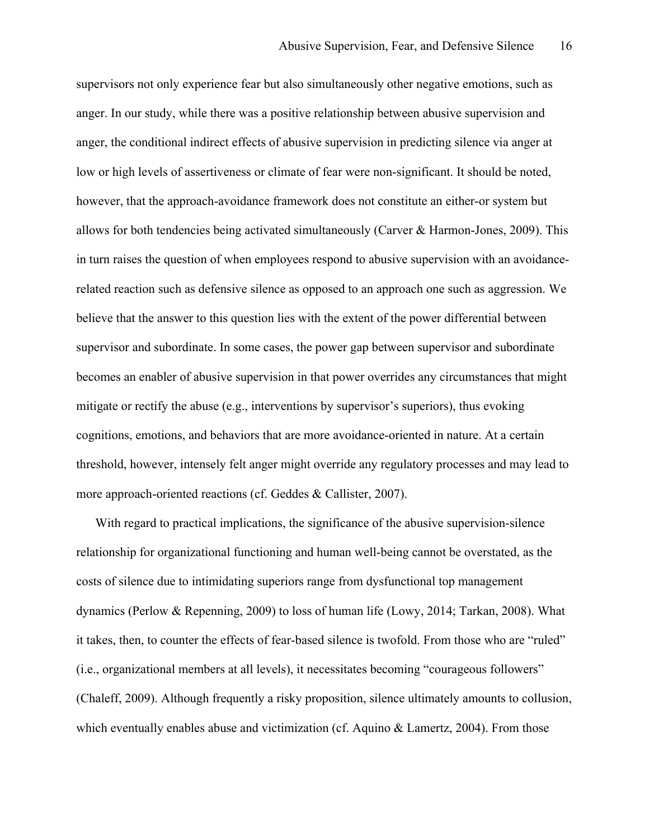supervisors not only experience fear but also simultaneously other negative emotions, such as anger. In our study, while there was a positive relationship between abusive supervision and anger, the conditional indirect effects of abusive supervision in predicting silence via anger at low or high levels of assertiveness or climate of fear were non-significant. It should be noted, however, that the approach-avoidance framework does not constitute an either-or system but allows for both tendencies being activated simultaneously (Carver & Harmon-Jones, 2009). This in turn raises the question of when employees respond to abusive supervision with an avoidancerelated reaction such as defensive silence as opposed to an approach one such as aggression. We believe that the answer to this question lies with the extent of the power differential between supervisor and subordinate. In some cases, the power gap between supervisor and subordinate becomes an enabler of abusive supervision in that power overrides any circumstances that might mitigate or rectify the abuse (e.g., interventions by supervisor's superiors), thus evoking cognitions, emotions, and behaviors that are more avoidance-oriented in nature. At a certain threshold, however, intensely felt anger might override any regulatory processes and may lead to more approach-oriented reactions (cf. Geddes & Callister, 2007).

With regard to practical implications, the significance of the abusive supervision-silence relationship for organizational functioning and human well-being cannot be overstated, as the costs of silence due to intimidating superiors range from dysfunctional top management dynamics (Perlow & Repenning, 2009) to loss of human life (Lowy, 2014; Tarkan, 2008). What it takes, then, to counter the effects of fear-based silence is twofold. From those who are "ruled" (i.e., organizational members at all levels), it necessitates becoming "courageous followers" (Chaleff, 2009). Although frequently a risky proposition, silence ultimately amounts to collusion, which eventually enables abuse and victimization (cf. Aquino & Lamertz, 2004). From those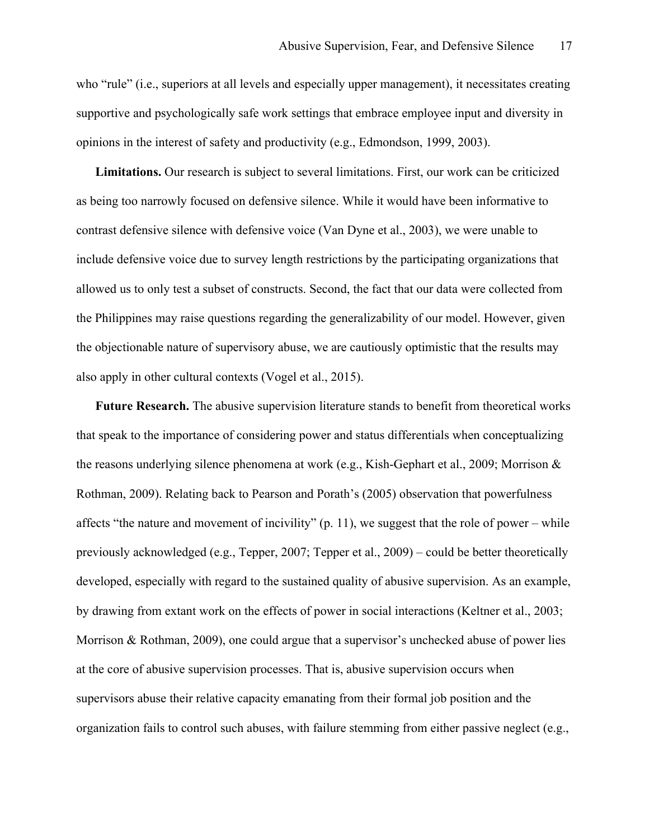who "rule" (i.e., superiors at all levels and especially upper management), it necessitates creating supportive and psychologically safe work settings that embrace employee input and diversity in opinions in the interest of safety and productivity (e.g., Edmondson, 1999, 2003).

**Limitations.** Our research is subject to several limitations. First, our work can be criticized as being too narrowly focused on defensive silence. While it would have been informative to contrast defensive silence with defensive voice (Van Dyne et al., 2003), we were unable to include defensive voice due to survey length restrictions by the participating organizations that allowed us to only test a subset of constructs. Second, the fact that our data were collected from the Philippines may raise questions regarding the generalizability of our model. However, given the objectionable nature of supervisory abuse, we are cautiously optimistic that the results may also apply in other cultural contexts (Vogel et al., 2015).

**Future Research.** The abusive supervision literature stands to benefit from theoretical works that speak to the importance of considering power and status differentials when conceptualizing the reasons underlying silence phenomena at work (e.g., Kish-Gephart et al., 2009; Morrison & Rothman, 2009). Relating back to Pearson and Porath's (2005) observation that powerfulness affects "the nature and movement of incivility" (p. 11), we suggest that the role of power – while previously acknowledged (e.g., Tepper, 2007; Tepper et al., 2009) – could be better theoretically developed, especially with regard to the sustained quality of abusive supervision. As an example, by drawing from extant work on the effects of power in social interactions (Keltner et al., 2003; Morrison & Rothman, 2009), one could argue that a supervisor's unchecked abuse of power lies at the core of abusive supervision processes. That is, abusive supervision occurs when supervisors abuse their relative capacity emanating from their formal job position and the organization fails to control such abuses, with failure stemming from either passive neglect (e.g.,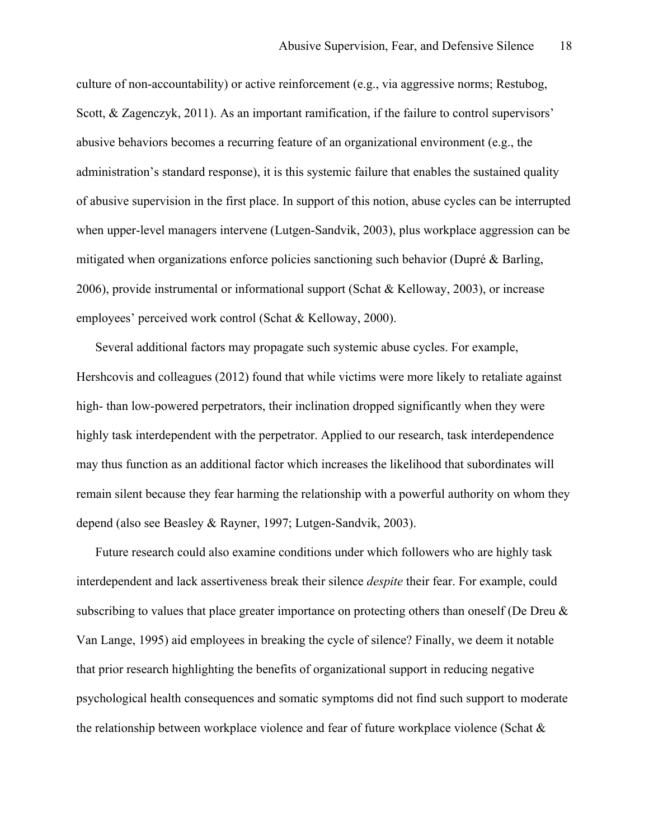culture of non-accountability) or active reinforcement (e.g., via aggressive norms; Restubog, Scott, & Zagenczyk, 2011). As an important ramification, if the failure to control supervisors' abusive behaviors becomes a recurring feature of an organizational environment (e.g., the administration's standard response), it is this systemic failure that enables the sustained quality of abusive supervision in the first place. In support of this notion, abuse cycles can be interrupted when upper-level managers intervene (Lutgen-Sandvik, 2003), plus workplace aggression can be mitigated when organizations enforce policies sanctioning such behavior (Dupré & Barling, 2006), provide instrumental or informational support (Schat & Kelloway, 2003), or increase employees' perceived work control (Schat & Kelloway, 2000).

Several additional factors may propagate such systemic abuse cycles. For example, Hershcovis and colleagues (2012) found that while victims were more likely to retaliate against high- than low-powered perpetrators, their inclination dropped significantly when they were highly task interdependent with the perpetrator. Applied to our research, task interdependence may thus function as an additional factor which increases the likelihood that subordinates will remain silent because they fear harming the relationship with a powerful authority on whom they depend (also see Beasley & Rayner, 1997; Lutgen-Sandvik, 2003).

Future research could also examine conditions under which followers who are highly task interdependent and lack assertiveness break their silence *despite* their fear. For example, could subscribing to values that place greater importance on protecting others than oneself (De Dreu & Van Lange, 1995) aid employees in breaking the cycle of silence? Finally, we deem it notable that prior research highlighting the benefits of organizational support in reducing negative psychological health consequences and somatic symptoms did not find such support to moderate the relationship between workplace violence and fear of future workplace violence (Schat &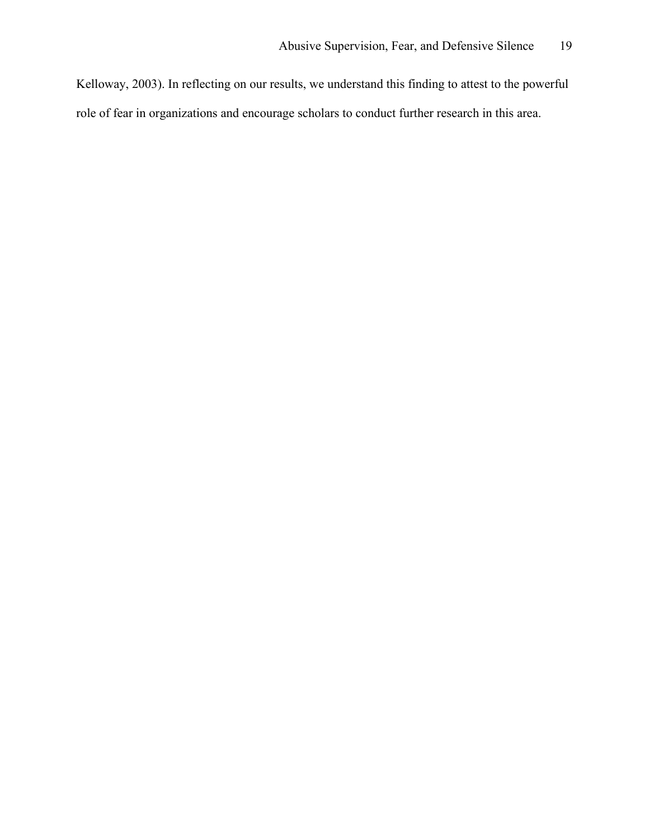Kelloway, 2003). In reflecting on our results, we understand this finding to attest to the powerful role of fear in organizations and encourage scholars to conduct further research in this area.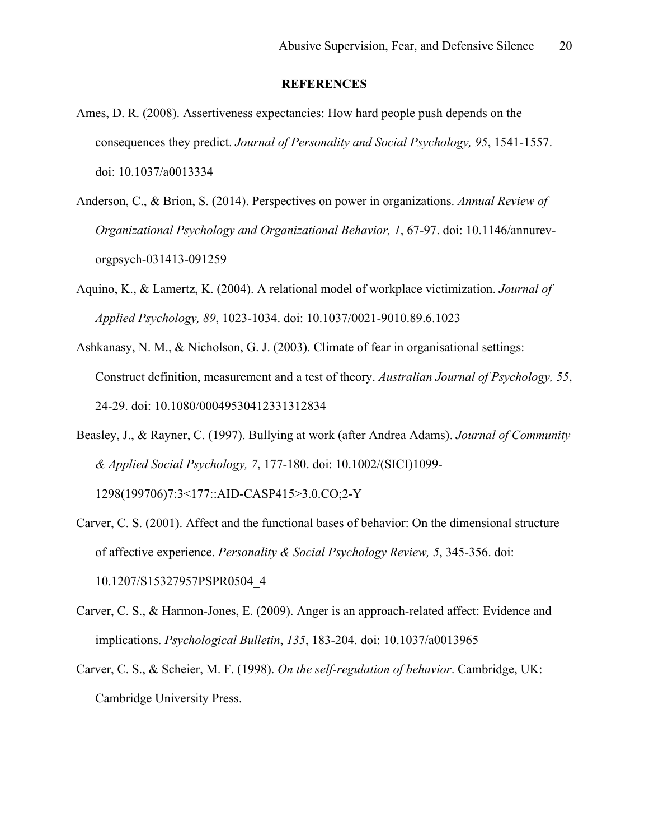#### **REFERENCES**

- Ames, D. R. (2008). Assertiveness expectancies: How hard people push depends on the consequences they predict. *Journal of Personality and Social Psychology, 95*, 1541-1557. doi: 10.1037/a0013334
- Anderson, C., & Brion, S. (2014). Perspectives on power in organizations. *Annual Review of Organizational Psychology and Organizational Behavior, 1*, 67-97. doi: 10.1146/annurevorgpsych-031413-091259
- Aquino, K., & Lamertz, K. (2004). A relational model of workplace victimization. *Journal of Applied Psychology, 89*, 1023-1034. doi: 10.1037/0021-9010.89.6.1023
- Ashkanasy, N. M., & Nicholson, G. J. (2003). Climate of fear in organisational settings: Construct definition, measurement and a test of theory. *Australian Journal of Psychology, 55*, 24-29. doi: 10.1080/00049530412331312834
- Beasley, J., & Rayner, C. (1997). Bullying at work (after Andrea Adams). *Journal of Community & Applied Social Psychology, 7*, 177-180. doi: 10.1002/(SICI)1099- 1298(199706)7:3<177::AID-CASP415>3.0.CO;2-Y
- Carver, C. S. (2001). Affect and the functional bases of behavior: On the dimensional structure of affective experience. *Personality & Social Psychology Review, 5*, 345-356. doi: 10.1207/S15327957PSPR0504\_4
- Carver, C. S., & Harmon-Jones, E. (2009). Anger is an approach-related affect: Evidence and implications. *Psychological Bulletin*, *135*, 183-204. doi: 10.1037/a0013965
- Carver, C. S., & Scheier, M. F. (1998). *On the self-regulation of behavior*. Cambridge, UK: Cambridge University Press.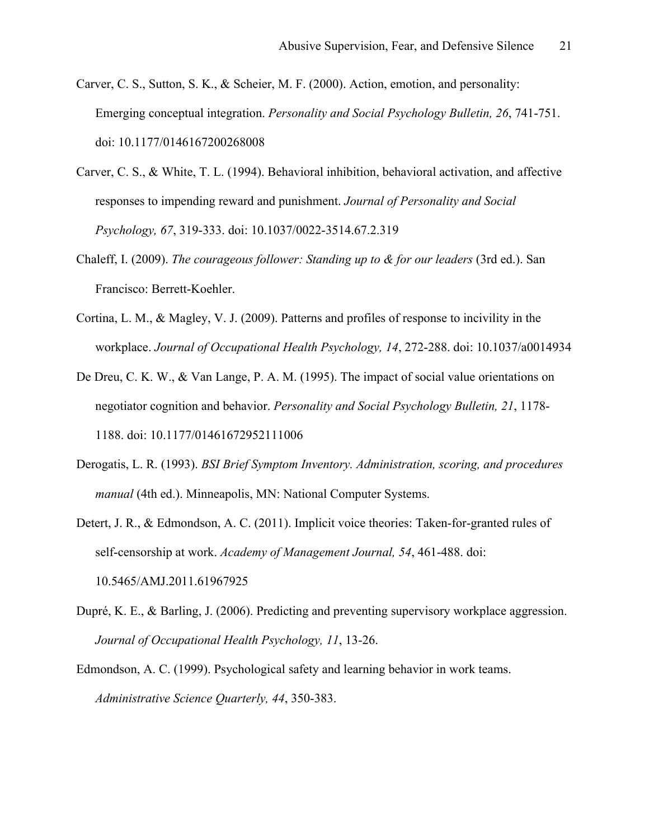- Carver, C. S., Sutton, S. K., & Scheier, M. F. (2000). Action, emotion, and personality: Emerging conceptual integration. *Personality and Social Psychology Bulletin, 26*, 741-751. doi: 10.1177/0146167200268008
- Carver, C. S., & White, T. L. (1994). Behavioral inhibition, behavioral activation, and affective responses to impending reward and punishment. *Journal of Personality and Social Psychology, 67*, 319-333. doi: 10.1037/0022-3514.67.2.319
- Chaleff, I. (2009). *The courageous follower: Standing up to & for our leaders* (3rd ed.). San Francisco: Berrett-Koehler.
- Cortina, L. M., & Magley, V. J. (2009). Patterns and profiles of response to incivility in the workplace. *Journal of Occupational Health Psychology, 14*, 272-288. doi: 10.1037/a0014934
- De Dreu, C. K. W., & Van Lange, P. A. M. (1995). The impact of social value orientations on negotiator cognition and behavior. *Personality and Social Psychology Bulletin, 21*, 1178- 1188. doi: 10.1177/01461672952111006
- Derogatis, L. R. (1993). *BSI Brief Symptom Inventory. Administration, scoring, and procedures manual* (4th ed.). Minneapolis, MN: National Computer Systems.
- Detert, J. R., & Edmondson, A. C. (2011). Implicit voice theories: Taken-for-granted rules of self-censorship at work. *Academy of Management Journal, 54*, 461-488. doi: 10.5465/AMJ.2011.61967925
- Dupré, K. E., & Barling, J. (2006). Predicting and preventing supervisory workplace aggression. *Journal of Occupational Health Psychology, 11*, 13-26.
- Edmondson, A. C. (1999). Psychological safety and learning behavior in work teams. *Administrative Science Quarterly, 44*, 350-383.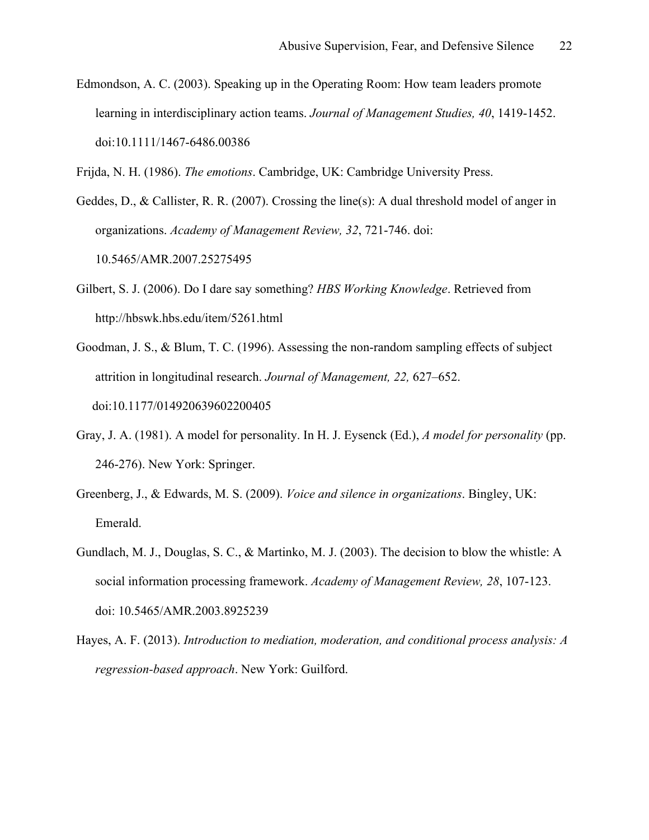Edmondson, A. C. (2003). Speaking up in the Operating Room: How team leaders promote learning in interdisciplinary action teams. *Journal of Management Studies, 40*, 1419-1452. doi:10.1111/1467-6486.00386

Frijda, N. H. (1986). *The emotions*. Cambridge, UK: Cambridge University Press.

Geddes, D., & Callister, R. R. (2007). Crossing the line(s): A dual threshold model of anger in organizations. *Academy of Management Review, 32*, 721-746. doi: 10.5465/AMR.2007.25275495

- Gilbert, S. J. (2006). Do I dare say something? *HBS Working Knowledge*. Retrieved from http://hbswk.hbs.edu/item/5261.html
- Goodman, J. S., & Blum, T. C. (1996). Assessing the non-random sampling effects of subject attrition in longitudinal research. *Journal of Management, 22,* 627–652. doi:10.1177/014920639602200405
- Gray, J. A. (1981). A model for personality. In H. J. Eysenck (Ed.), *A model for personality* (pp. 246-276). New York: Springer.
- Greenberg, J., & Edwards, M. S. (2009). *Voice and silence in organizations*. Bingley, UK: Emerald.
- Gundlach, M. J., Douglas, S. C., & Martinko, M. J. (2003). The decision to blow the whistle: A social information processing framework. *Academy of Management Review, 28*, 107-123. doi: 10.5465/AMR.2003.8925239
- Hayes, A. F. (2013). *Introduction to mediation, moderation, and conditional process analysis: A regression-based approach*. New York: Guilford.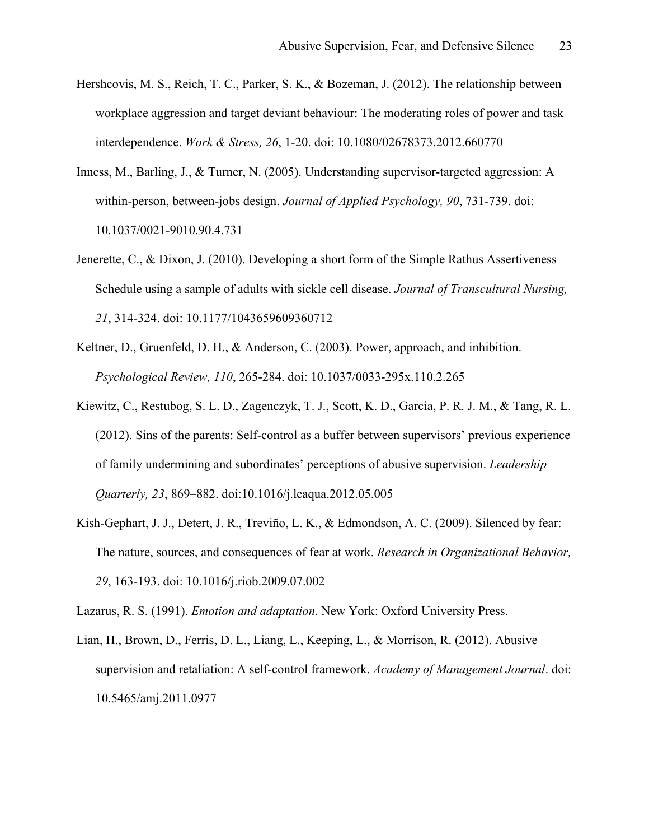- Hershcovis, M. S., Reich, T. C., Parker, S. K., & Bozeman, J. (2012). The relationship between workplace aggression and target deviant behaviour: The moderating roles of power and task interdependence. *Work & Stress, 26*, 1-20. doi: 10.1080/02678373.2012.660770
- Inness, M., Barling, J., & Turner, N. (2005). Understanding supervisor-targeted aggression: A within-person, between-jobs design. *Journal of Applied Psychology, 90*, 731-739. doi: 10.1037/0021-9010.90.4.731
- Jenerette, C., & Dixon, J. (2010). Developing a short form of the Simple Rathus Assertiveness Schedule using a sample of adults with sickle cell disease. *Journal of Transcultural Nursing, 21*, 314-324. doi: 10.1177/1043659609360712
- Keltner, D., Gruenfeld, D. H., & Anderson, C. (2003). Power, approach, and inhibition. *Psychological Review, 110*, 265-284. doi: 10.1037/0033-295x.110.2.265
- Kiewitz, C., Restubog, S. L. D., Zagenczyk, T. J., Scott, K. D., Garcia, P. R. J. M., & Tang, R. L. (2012). Sins of the parents: Self-control as a buffer between supervisors' previous experience of family undermining and subordinates' perceptions of abusive supervision. *Leadership Quarterly, 23*, 869–882. doi:10.1016/j.leaqua.2012.05.005
- Kish-Gephart, J. J., Detert, J. R., Treviño, L. K., & Edmondson, A. C. (2009). Silenced by fear: The nature, sources, and consequences of fear at work. *Research in Organizational Behavior, 29*, 163-193. doi: 10.1016/j.riob.2009.07.002

Lazarus, R. S. (1991). *Emotion and adaptation*. New York: Oxford University Press.

Lian, H., Brown, D., Ferris, D. L., Liang, L., Keeping, L., & Morrison, R. (2012). Abusive supervision and retaliation: A self-control framework. *Academy of Management Journal*. doi: 10.5465/amj.2011.0977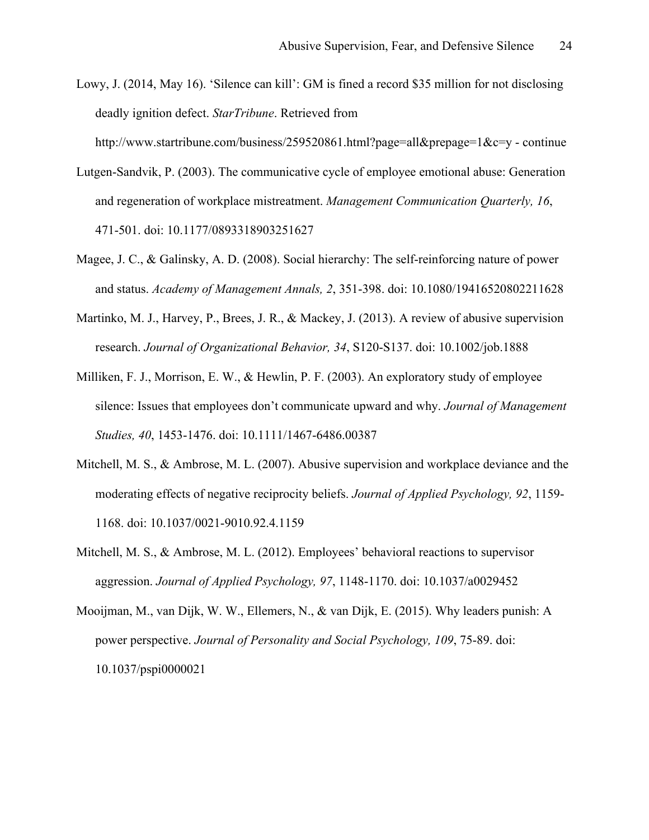Lowy, J. (2014, May 16). 'Silence can kill': GM is fined a record \$35 million for not disclosing deadly ignition defect. *StarTribune*. Retrieved from

http://www.startribune.com/business/259520861.html?page=all&prepage=1&c=y - continue

- Lutgen-Sandvik, P. (2003). The communicative cycle of employee emotional abuse: Generation and regeneration of workplace mistreatment. *Management Communication Quarterly, 16*, 471-501. doi: 10.1177/0893318903251627
- Magee, J. C., & Galinsky, A. D. (2008). Social hierarchy: The self-reinforcing nature of power and status. *Academy of Management Annals, 2*, 351-398. doi: 10.1080/19416520802211628
- Martinko, M. J., Harvey, P., Brees, J. R., & Mackey, J. (2013). A review of abusive supervision research. *Journal of Organizational Behavior, 34*, S120-S137. doi: 10.1002/job.1888
- Milliken, F. J., Morrison, E. W., & Hewlin, P. F. (2003). An exploratory study of employee silence: Issues that employees don't communicate upward and why. *Journal of Management Studies, 40*, 1453-1476. doi: 10.1111/1467-6486.00387
- Mitchell, M. S., & Ambrose, M. L. (2007). Abusive supervision and workplace deviance and the moderating effects of negative reciprocity beliefs. *Journal of Applied Psychology, 92*, 1159- 1168. doi: 10.1037/0021-9010.92.4.1159
- Mitchell, M. S., & Ambrose, M. L. (2012). Employees' behavioral reactions to supervisor aggression. *Journal of Applied Psychology, 97*, 1148-1170. doi: 10.1037/a0029452
- Mooijman, M., van Dijk, W. W., Ellemers, N., & van Dijk, E. (2015). Why leaders punish: A power perspective. *Journal of Personality and Social Psychology, 109*, 75-89. doi: 10.1037/pspi0000021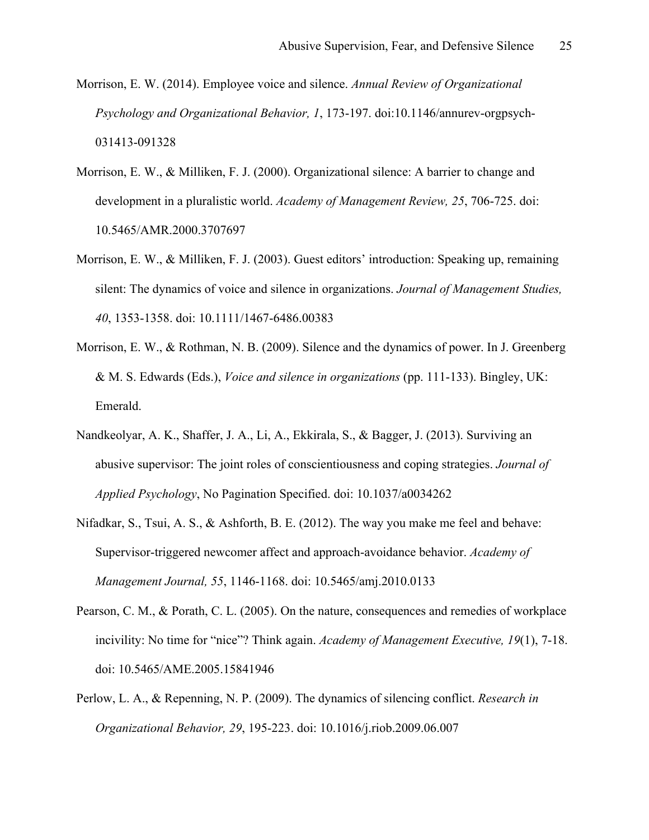- Morrison, E. W. (2014). Employee voice and silence. *Annual Review of Organizational Psychology and Organizational Behavior, 1*, 173-197. doi:10.1146/annurev-orgpsych-031413-091328
- Morrison, E. W., & Milliken, F. J. (2000). Organizational silence: A barrier to change and development in a pluralistic world. *Academy of Management Review, 25*, 706-725. doi: 10.5465/AMR.2000.3707697
- Morrison, E. W., & Milliken, F. J. (2003). Guest editors' introduction: Speaking up, remaining silent: The dynamics of voice and silence in organizations. *Journal of Management Studies, 40*, 1353-1358. doi: 10.1111/1467-6486.00383
- Morrison, E. W., & Rothman, N. B. (2009). Silence and the dynamics of power. In J. Greenberg & M. S. Edwards (Eds.), *Voice and silence in organizations* (pp. 111-133). Bingley, UK: Emerald.
- Nandkeolyar, A. K., Shaffer, J. A., Li, A., Ekkirala, S., & Bagger, J. (2013). Surviving an abusive supervisor: The joint roles of conscientiousness and coping strategies. *Journal of Applied Psychology*, No Pagination Specified. doi: 10.1037/a0034262
- Nifadkar, S., Tsui, A. S., & Ashforth, B. E. (2012). The way you make me feel and behave: Supervisor-triggered newcomer affect and approach-avoidance behavior. *Academy of Management Journal, 55*, 1146-1168. doi: 10.5465/amj.2010.0133
- Pearson, C. M., & Porath, C. L. (2005). On the nature, consequences and remedies of workplace incivility: No time for "nice"? Think again. *Academy of Management Executive, 19*(1), 7-18. doi: 10.5465/AME.2005.15841946
- Perlow, L. A., & Repenning, N. P. (2009). The dynamics of silencing conflict. *Research in Organizational Behavior, 29*, 195-223. doi: 10.1016/j.riob.2009.06.007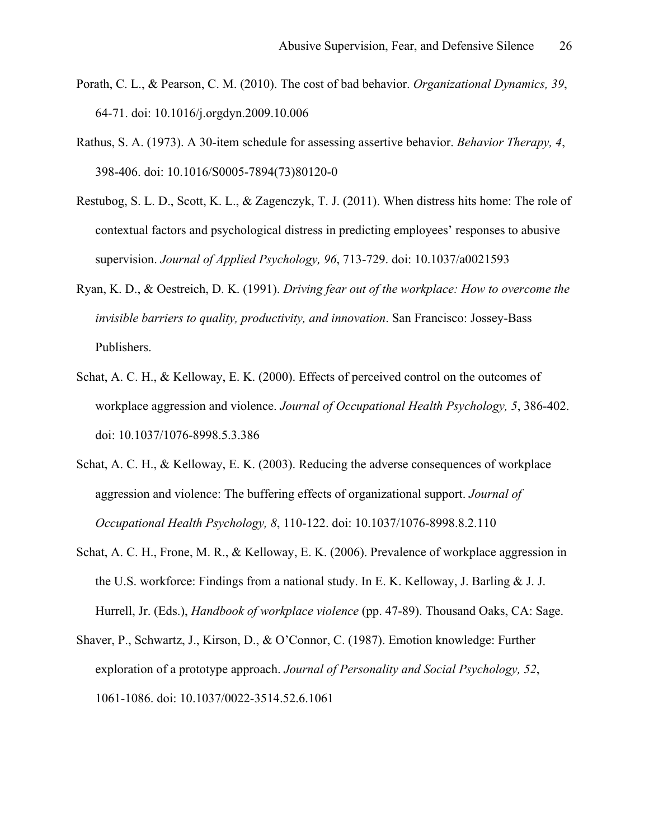- Porath, C. L., & Pearson, C. M. (2010). The cost of bad behavior. *Organizational Dynamics, 39*, 64-71. doi: 10.1016/j.orgdyn.2009.10.006
- Rathus, S. A. (1973). A 30-item schedule for assessing assertive behavior. *Behavior Therapy, 4*, 398-406. doi: 10.1016/S0005-7894(73)80120-0
- Restubog, S. L. D., Scott, K. L., & Zagenczyk, T. J. (2011). When distress hits home: The role of contextual factors and psychological distress in predicting employees' responses to abusive supervision. *Journal of Applied Psychology, 96*, 713-729. doi: 10.1037/a0021593
- Ryan, K. D., & Oestreich, D. K. (1991). *Driving fear out of the workplace: How to overcome the invisible barriers to quality, productivity, and innovation*. San Francisco: Jossey-Bass Publishers.
- Schat, A. C. H., & Kelloway, E. K. (2000). Effects of perceived control on the outcomes of workplace aggression and violence. *Journal of Occupational Health Psychology, 5*, 386-402. doi: 10.1037/1076-8998.5.3.386
- Schat, A. C. H., & Kelloway, E. K. (2003). Reducing the adverse consequences of workplace aggression and violence: The buffering effects of organizational support. *Journal of Occupational Health Psychology, 8*, 110-122. doi: 10.1037/1076-8998.8.2.110
- Schat, A. C. H., Frone, M. R., & Kelloway, E. K. (2006). Prevalence of workplace aggression in the U.S. workforce: Findings from a national study. In E. K. Kelloway, J. Barling  $& J. J.$ Hurrell, Jr. (Eds.), *Handbook of workplace violence* (pp. 47-89). Thousand Oaks, CA: Sage.
- Shaver, P., Schwartz, J., Kirson, D., & O'Connor, C. (1987). Emotion knowledge: Further exploration of a prototype approach. *Journal of Personality and Social Psychology, 52*, 1061-1086. doi: 10.1037/0022-3514.52.6.1061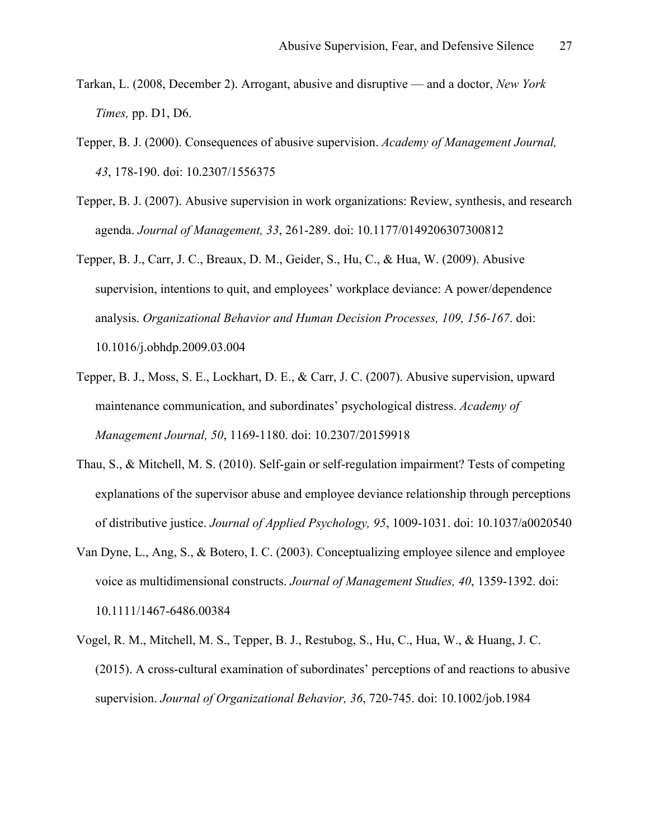- Tarkan, L. (2008, December 2). Arrogant, abusive and disruptive and a doctor, *New York Times,* pp. D1, D6.
- Tepper, B. J. (2000). Consequences of abusive supervision. *Academy of Management Journal, 43*, 178-190. doi: 10.2307/1556375
- Tepper, B. J. (2007). Abusive supervision in work organizations: Review, synthesis, and research agenda. *Journal of Management, 33*, 261-289. doi: 10.1177/0149206307300812
- Tepper, B. J., Carr, J. C., Breaux, D. M., Geider, S., Hu, C., & Hua, W. (2009). Abusive supervision, intentions to quit, and employees' workplace deviance: A power/dependence analysis. *Organizational Behavior and Human Decision Processes, 109, 156-167*. doi: 10.1016/j.obhdp.2009.03.004
- Tepper, B. J., Moss, S. E., Lockhart, D. E., & Carr, J. C. (2007). Abusive supervision, upward maintenance communication, and subordinates' psychological distress. *Academy of Management Journal, 50*, 1169-1180. doi: 10.2307/20159918
- Thau, S., & Mitchell, M. S. (2010). Self-gain or self-regulation impairment? Tests of competing explanations of the supervisor abuse and employee deviance relationship through perceptions of distributive justice. *Journal of Applied Psychology, 95*, 1009-1031. doi: 10.1037/a0020540
- Van Dyne, L., Ang, S., & Botero, I. C. (2003). Conceptualizing employee silence and employee voice as multidimensional constructs. *Journal of Management Studies, 40*, 1359-1392. doi: 10.1111/1467-6486.00384
- Vogel, R. M., Mitchell, M. S., Tepper, B. J., Restubog, S., Hu, C., Hua, W., & Huang, J. C. (2015). A cross-cultural examination of subordinates' perceptions of and reactions to abusive supervision. *Journal of Organizational Behavior, 36*, 720-745. doi: 10.1002/job.1984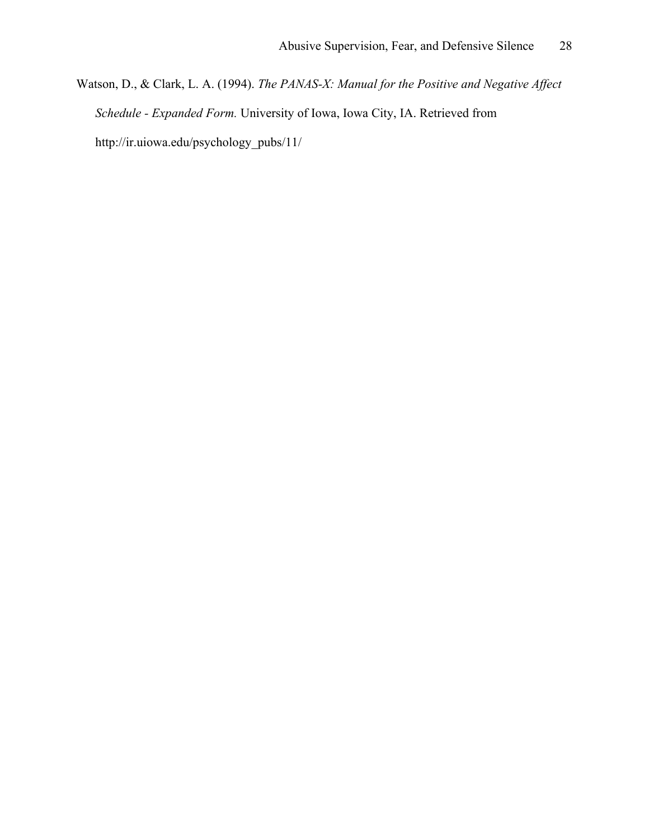Watson, D., & Clark, L. A. (1994). *The PANAS-X: Manual for the Positive and Negative Affect Schedule - Expanded Form.* University of Iowa, Iowa City, IA. Retrieved from http://ir.uiowa.edu/psychology\_pubs/11/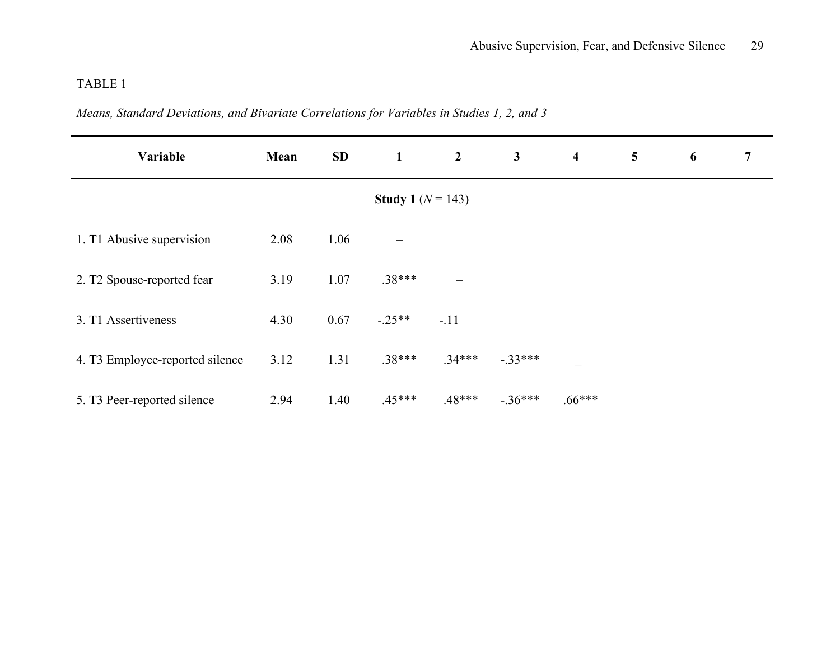*Means, Standard Deviations, and Bivariate Correlations for Variables in Studies 1, 2, and 3*

| Variable                        | Mean | <b>SD</b> | $\mathbf{1}$                 | $\overline{2}$    | $\mathbf{3}$ | $\overline{\mathbf{4}}$ | $\overline{\mathbf{5}}$ | 6 | 7 |
|---------------------------------|------|-----------|------------------------------|-------------------|--------------|-------------------------|-------------------------|---|---|
|                                 |      |           | <b>Study 1</b> ( $N = 143$ ) |                   |              |                         |                         |   |   |
| 1. T1 Abusive supervision       | 2.08 | 1.06      | $\overline{\phantom{0}}$     |                   |              |                         |                         |   |   |
| 2. T2 Spouse-reported fear      | 3.19 | 1.07      | $.38***$                     | $\qquad \qquad -$ |              |                         |                         |   |   |
| 3. T1 Assertiveness             | 4.30 | 0.67      | $-25**$                      | $-.11$            |              |                         |                         |   |   |
| 4. T3 Employee-reported silence | 3.12 | 1.31      | $.38***$                     | $.34***$          | $-.33***$    |                         |                         |   |   |
| 5. T3 Peer-reported silence     | 2.94 | 1.40      | $.45***$                     | $.48***$          | $-.36***$    | $.66***$                | $\qquad \qquad$         |   |   |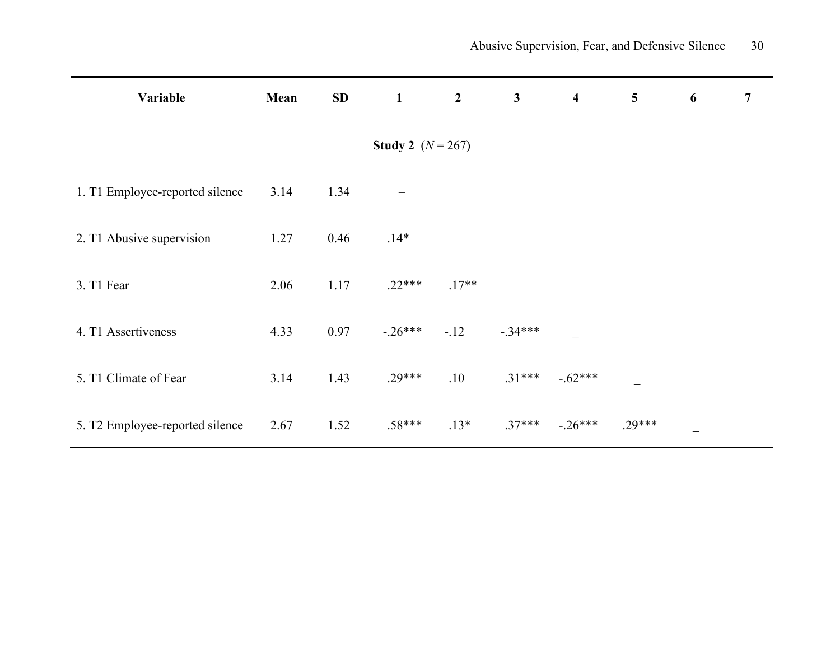| Variable                        | Mean | SD   | $\mathbf{1}$ | $\overline{2}$ | $\mathbf{3}$      | $\overline{\mathbf{4}}$ | $\overline{5}$ | 6               | $\overline{7}$ |
|---------------------------------|------|------|--------------|----------------|-------------------|-------------------------|----------------|-----------------|----------------|
| <b>Study 2</b> $(N = 267)$      |      |      |              |                |                   |                         |                |                 |                |
| 1. T1 Employee-reported silence | 3.14 | 1.34 |              |                |                   |                         |                |                 |                |
| 2. T1 Abusive supervision       | 1.27 | 0.46 | $.14*$       |                |                   |                         |                |                 |                |
| 3. T1 Fear                      | 2.06 | 1.17 | $.22***$     | $.17**$        | $\qquad \qquad -$ |                         |                |                 |                |
| 4. T1 Assertiveness             | 4.33 | 0.97 | $-26***$     | $-12$          | $-.34***$         |                         |                |                 |                |
| 5. T1 Climate of Fear           | 3.14 | 1.43 | $.29***$     | .10            | $.31***$          | $-.62***$               |                |                 |                |
| 5. T2 Employee-reported silence | 2.67 | 1.52 | $.58***$     | $.13*$         | $.37***$          | $-.26***$               | $.29***$       | $\qquad \qquad$ |                |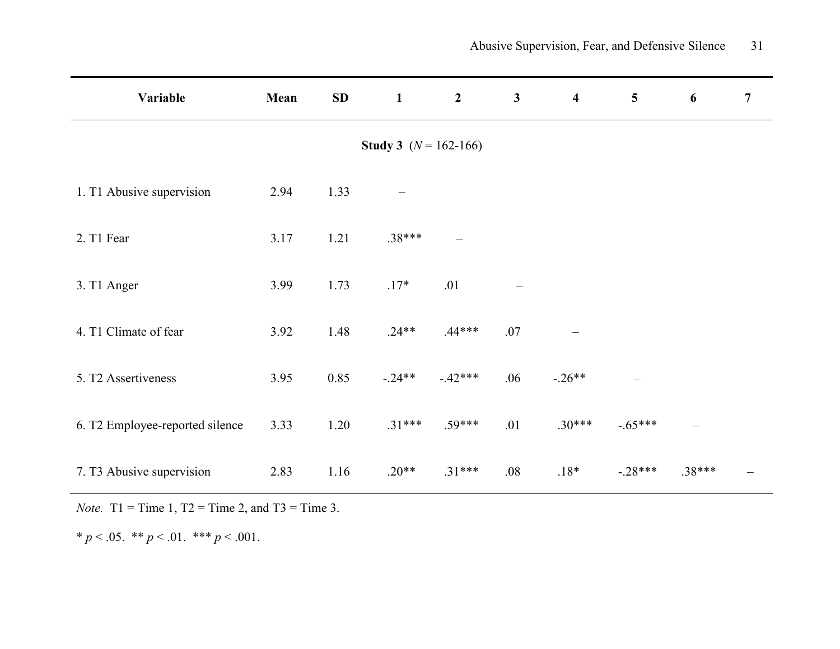| Variable                        | Mean | SD   | $\mathbf{1}$                   | $2^{\circ}$              | $\mathbf{3}$      | $\overline{\mathbf{4}}$ | $\overline{\mathbf{5}}$ | 6        | $\overline{7}$ |
|---------------------------------|------|------|--------------------------------|--------------------------|-------------------|-------------------------|-------------------------|----------|----------------|
|                                 |      |      | <b>Study 3</b> $(N = 162-166)$ |                          |                   |                         |                         |          |                |
| 1. T1 Abusive supervision       | 2.94 | 1.33 |                                |                          |                   |                         |                         |          |                |
| 2. T1 Fear                      | 3.17 | 1.21 | $.38***$                       | $\overline{\phantom{0}}$ |                   |                         |                         |          |                |
| 3. T1 Anger                     | 3.99 | 1.73 | $.17*$                         | .01                      | $\qquad \qquad -$ |                         |                         |          |                |
| 4. T1 Climate of fear           | 3.92 | 1.48 | $.24**$                        | $.44***$                 | .07               |                         |                         |          |                |
| 5. T2 Assertiveness             | 3.95 | 0.85 | $-0.24**$                      | $-42***$                 | .06               | $-.26**$                | $\equiv$                |          |                |
| 6. T2 Employee-reported silence | 3.33 | 1.20 | $.31***$                       | $.59***$                 | .01               | $.30***$                | $-.65***$               | $\equiv$ |                |
| 7. T3 Abusive supervision       | 2.83 | 1.16 | $.20**$                        | $.31***$                 | .08               | $.18*$                  | $-28***$                | $.38***$ |                |

*Note.* T1 = Time 1, T2 = Time 2, and T3 = Time 3.

\*  $p < .05$ . \*\*  $p < .01$ . \*\*\*  $p < .001$ .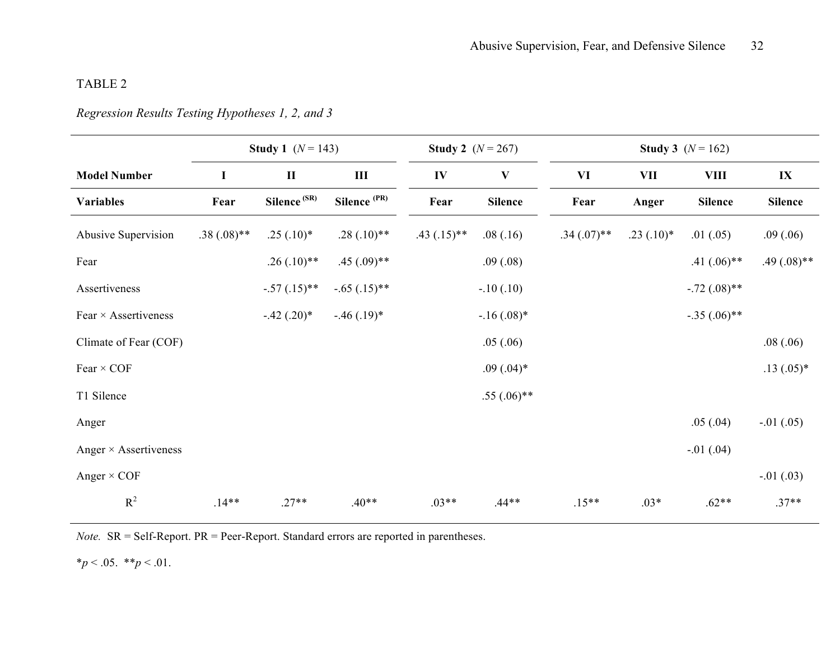## *Regression Results Testing Hypotheses 1, 2, and 3*

|                              | <b>Study 1</b> $(N = 143)$ |                         |                         |               | <b>Study 2</b> $(N = 267)$ | <b>Study 3</b> $(N = 162)$ |             |                |                |  |  |
|------------------------------|----------------------------|-------------------------|-------------------------|---------------|----------------------------|----------------------------|-------------|----------------|----------------|--|--|
| <b>Model Number</b>          | I                          | $\mathbf H$             | $\mathbf{III}$          | IV            | $\mathbf{V}$               | VI                         | <b>VII</b>  | <b>VIII</b>    | $\mathbf{IX}$  |  |  |
| <b>Variables</b>             | Fear                       | Silence <sup>(SR)</sup> | Silence <sup>(PR)</sup> | Fear          | <b>Silence</b>             | Fear                       | Anger       | <b>Silence</b> | <b>Silence</b> |  |  |
| Abusive Supervision          | $.38(.08)$ **              | $.25(.10)*$             | $.28(.10)**$            | $.43(.15)$ ** | .08(.16)                   | $.34(.07)$ **              | $.23(.10)*$ | .01(.05)       | .09(.06)       |  |  |
| Fear                         |                            | $.26(.10)**$            | $.45(.09)$ **           |               | .09(.08)                   |                            |             | $.41(.06)$ **  | $.49(.08)$ **  |  |  |
| Assertiveness                |                            | $-.57(.15)$ **          | $-.65(.15)**$           |               | $-.10(.10)$                |                            |             | $-.72(.08)$ ** |                |  |  |
| Fear $\times$ Assertiveness  |                            | $-.42(.20)*$            | $-.46(.19)*$            |               | $-16(.08)$ *               |                            |             | $-.35(.06)$ ** |                |  |  |
| Climate of Fear (COF)        |                            |                         |                         |               | .05(.06)                   |                            |             |                | .08(.06)       |  |  |
| Fear $\times$ COF            |                            |                         |                         |               | $.09(.04)*$                |                            |             |                | $.13(.05)*$    |  |  |
| T1 Silence                   |                            |                         |                         |               | $.55(.06)$ **              |                            |             |                |                |  |  |
| Anger                        |                            |                         |                         |               |                            |                            |             | .05(.04)       | $-.01(.05)$    |  |  |
| Anger $\times$ Assertiveness |                            |                         |                         |               |                            |                            |             | $-.01(.04)$    |                |  |  |
| Anger $\times$ COF           |                            |                         |                         |               |                            |                            |             |                | $-.01(.03)$    |  |  |
| $R^2$                        | $.14**$                    | $.27**$                 | $.40**$                 | $.03**$       | $.44**$                    | $.15**$                    | $.03*$      | $.62**$        | $.37**$        |  |  |

*Note.* SR = Self-Report. PR = Peer-Report. Standard errors are reported in parentheses.

 $*_{p}$  < .05.  $*_{p}$  < .01.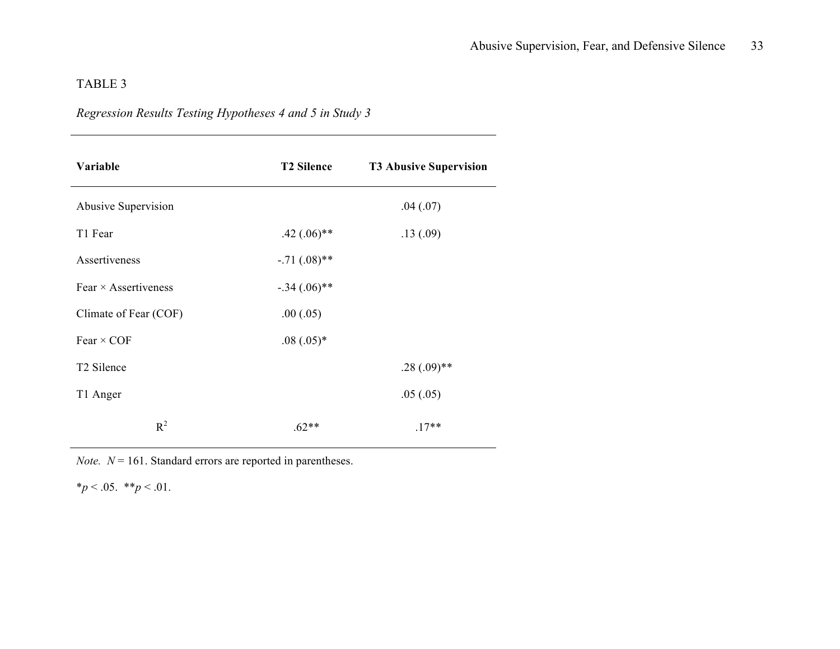## *Regression Results Testing Hypotheses 4 and 5 in Study 3*

| Variable                    | <b>T2 Silence</b> | <b>T3 Abusive Supervision</b> |
|-----------------------------|-------------------|-------------------------------|
| Abusive Supervision         |                   | .04(.07)                      |
| T1 Fear                     | $.42(.06)$ **     | .13(.09)                      |
| Assertiveness               | $-.71(.08)$ **    |                               |
| Fear $\times$ Assertiveness | $-.34(.06)$ **    |                               |
| Climate of Fear (COF)       | .00(.05)          |                               |
| Fear $\times$ COF           | $.08(.05)*$       |                               |
| T <sub>2</sub> Silence      |                   | $.28(.09)$ **                 |
| T1 Anger                    |                   | .05(.05)                      |
| $R^2$                       | $.62**$           | $.17**$                       |

*Note.*  $N = 161$ . Standard errors are reported in parentheses.

 $*_{p}$  < .05.  $*_{p}$  < .01.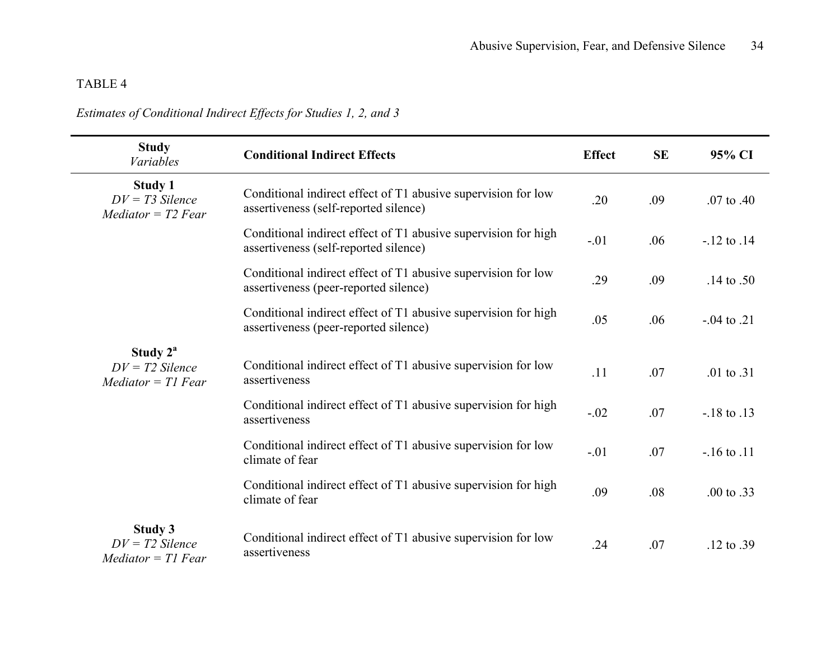## *Estimates of Conditional Indirect Effects for Studies 1, 2, and 3*

| <b>Study</b><br><b>Variables</b>                            | <b>Conditional Indirect Effects</b>                                                                     | <b>Effect</b> | <b>SE</b> | 95% CI                |
|-------------------------------------------------------------|---------------------------------------------------------------------------------------------------------|---------------|-----------|-----------------------|
| <b>Study 1</b><br>$DV = T3$ Silence<br>$Mediator = T2 Fear$ | Conditional indirect effect of T1 abusive supervision for low<br>assertiveness (self-reported silence)  | .20           | .09       | $.07$ to $.40$        |
|                                                             | Conditional indirect effect of T1 abusive supervision for high<br>assertiveness (self-reported silence) | $-.01$        | .06       | $-12$ to $.14$        |
|                                                             | Conditional indirect effect of T1 abusive supervision for low<br>assertiveness (peer-reported silence)  | .29           | .09       | .14 to .50            |
|                                                             | Conditional indirect effect of T1 abusive supervision for high<br>assertiveness (peer-reported silence) | .05           | .06       | $-0.04$ to $.21$      |
| Study $2^a$<br>$DV = T2$ Silence<br>$Mediator = TI$ Fear    | Conditional indirect effect of T1 abusive supervision for low<br>assertiveness                          | .11           | .07       | .01 to $.31$          |
|                                                             | Conditional indirect effect of T1 abusive supervision for high<br>assertiveness                         | $-.02$        | .07       | $-18$ to $.13$        |
|                                                             | Conditional indirect effect of T1 abusive supervision for low<br>climate of fear                        | $-.01$        | .07       | $-16$ to $.11$        |
|                                                             | Conditional indirect effect of T1 abusive supervision for high<br>climate of fear                       | .09           | .08       | .00 to .33            |
| Study 3<br>$DV = T2$ Silence<br>$Mediator = TI$ Fear        | Conditional indirect effect of T1 abusive supervision for low<br>assertiveness                          | .24           | .07       | $.12 \text{ to } .39$ |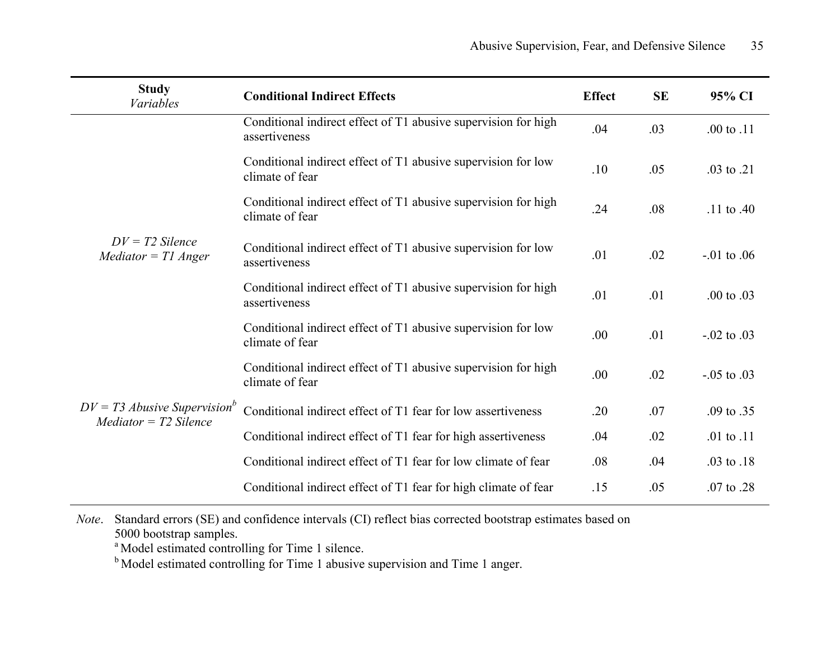| <b>Study</b><br>Variables                                             | <b>Conditional Indirect Effects</b>                                               | <b>Effect</b> | <b>SE</b> | 95% CI                |
|-----------------------------------------------------------------------|-----------------------------------------------------------------------------------|---------------|-----------|-----------------------|
|                                                                       | Conditional indirect effect of T1 abusive supervision for high<br>assertiveness   | .04           | .03       | $.00 \text{ to } .11$ |
|                                                                       | Conditional indirect effect of T1 abusive supervision for low<br>climate of fear  | .10           | .05       | .03 to .21            |
|                                                                       | Conditional indirect effect of T1 abusive supervision for high<br>climate of fear | .24           | .08       | .11 to .40            |
| $DV = T2$ Silence<br>$Mediator = T1$ Anger                            | Conditional indirect effect of T1 abusive supervision for low<br>assertiveness    | .01           | .02       | $-0.01$ to $0.06$     |
|                                                                       | Conditional indirect effect of T1 abusive supervision for high<br>assertiveness   | .01           | .01       | $.00 \text{ to } .03$ |
|                                                                       | Conditional indirect effect of T1 abusive supervision for low<br>climate of fear  | .00           | .01       | $-0.02$ to $0.03$     |
|                                                                       | Conditional indirect effect of T1 abusive supervision for high<br>climate of fear | .00           | .02       | $-0.05$ to $0.03$     |
| $DV = T3$ Abusive Supervision <sup>b</sup><br>$Mediator = T2$ Silence | Conditional indirect effect of T1 fear for low assertiveness                      | .20           | .07       | .09 to .35            |
|                                                                       | Conditional indirect effect of T1 fear for high assertiveness                     | .04           | .02       | .01 to $.11$          |
|                                                                       | Conditional indirect effect of T1 fear for low climate of fear                    | .08           | .04       | .03 to .18            |
|                                                                       | Conditional indirect effect of T1 fear for high climate of fear                   | .15           | .05       | .07 to .28            |

*Note*. Standard errors (SE) and confidence intervals (CI) reflect bias corrected bootstrap estimates based on 5000 bootstrap samples.

<sup>a</sup> Model estimated controlling for Time 1 silence.

<sup>b</sup> Model estimated controlling for Time 1 abusive supervision and Time 1 anger.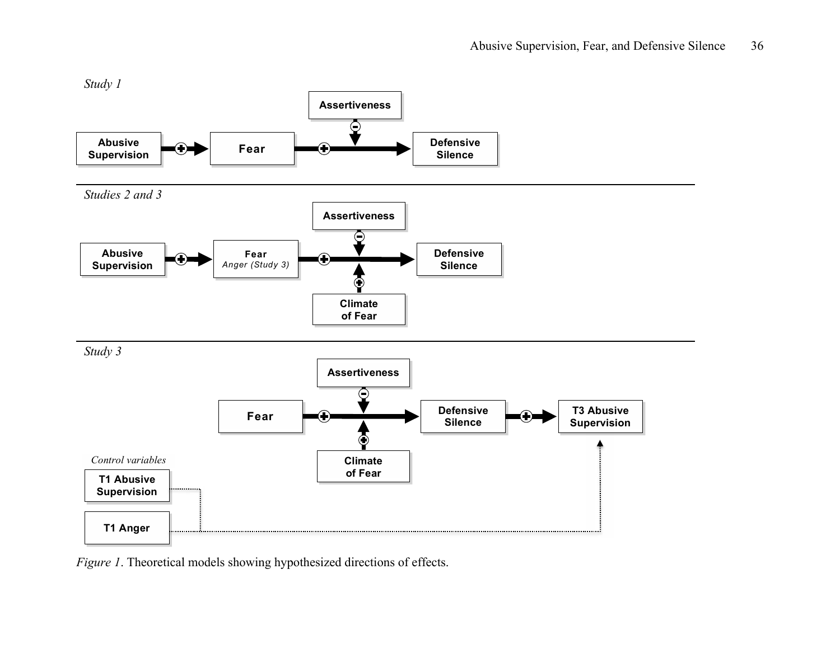

*Figure 1*. Theoretical models showing hypothesized directions of effects.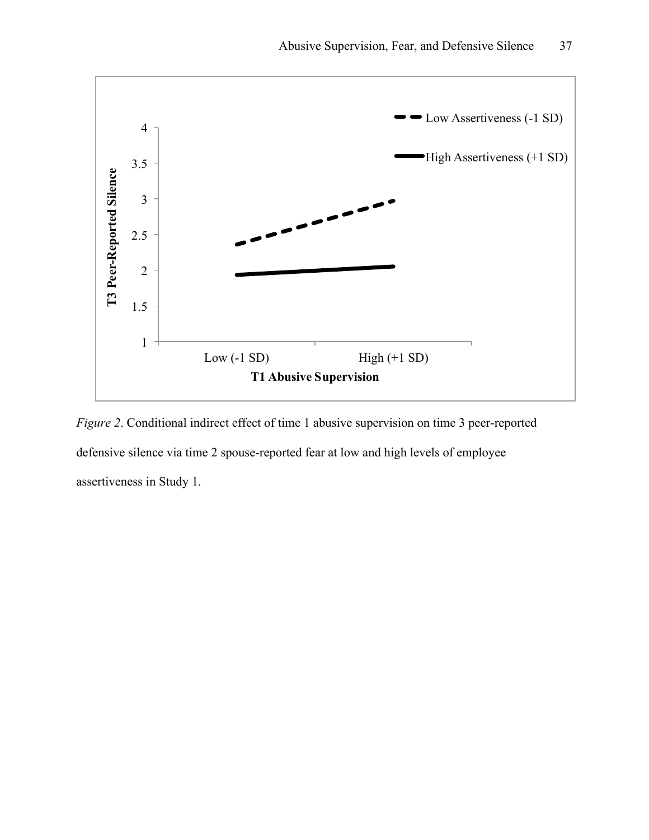

*Figure 2*. Conditional indirect effect of time 1 abusive supervision on time 3 peer-reported defensive silence via time 2 spouse-reported fear at low and high levels of employee assertiveness in Study 1.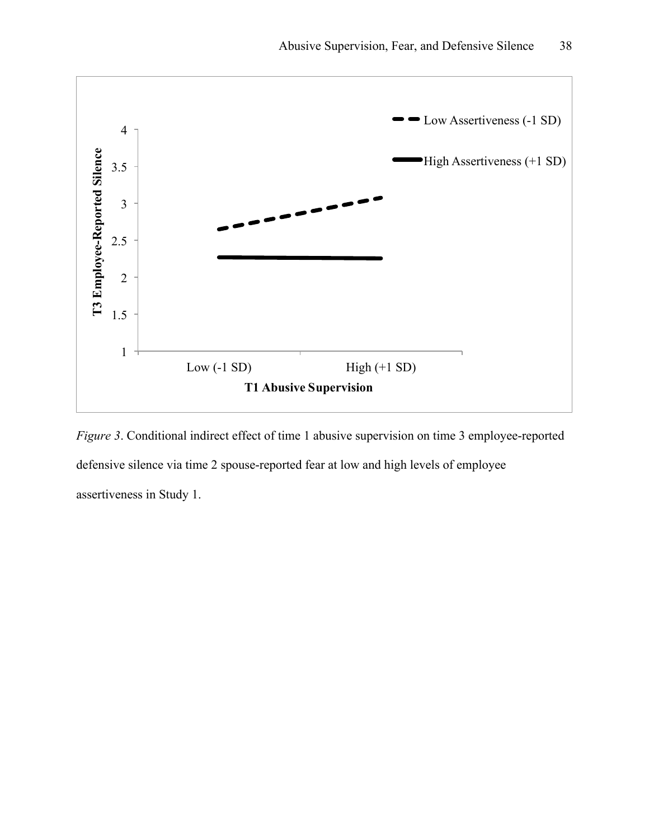

*Figure 3*. Conditional indirect effect of time 1 abusive supervision on time 3 employee-reported defensive silence via time 2 spouse-reported fear at low and high levels of employee assertiveness in Study 1.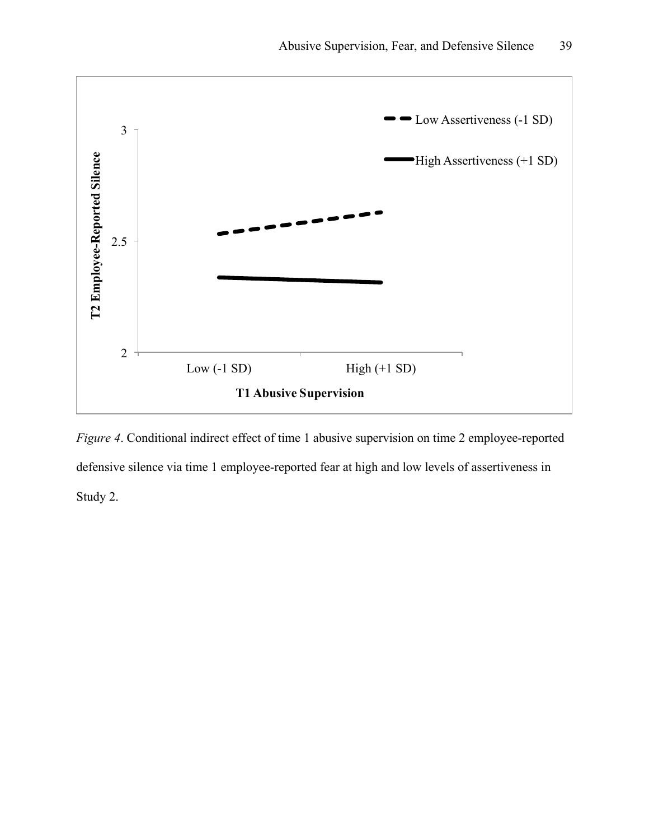

*Figure 4*. Conditional indirect effect of time 1 abusive supervision on time 2 employee-reported defensive silence via time 1 employee-reported fear at high and low levels of assertiveness in Study 2.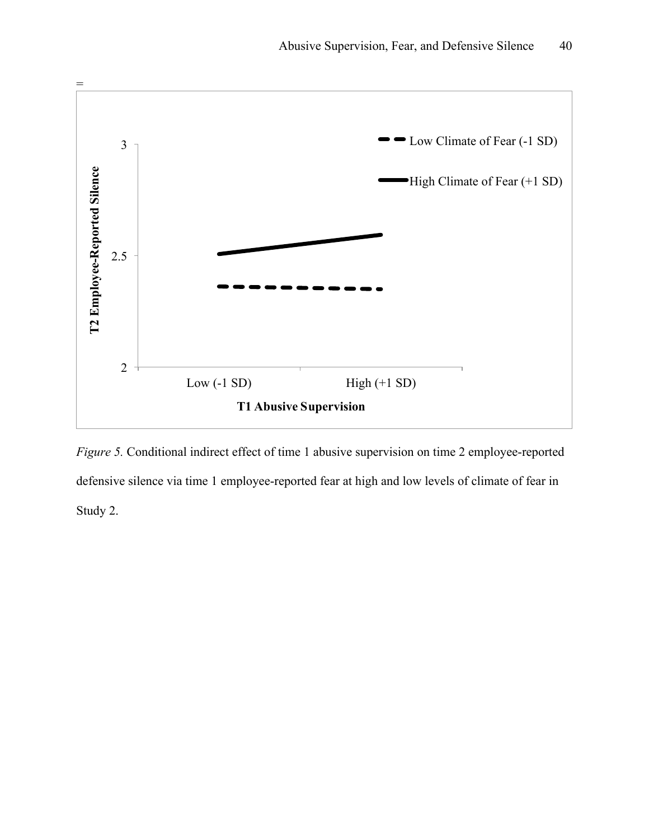

*Figure 5.* Conditional indirect effect of time 1 abusive supervision on time 2 employee-reported defensive silence via time 1 employee-reported fear at high and low levels of climate of fear in Study 2.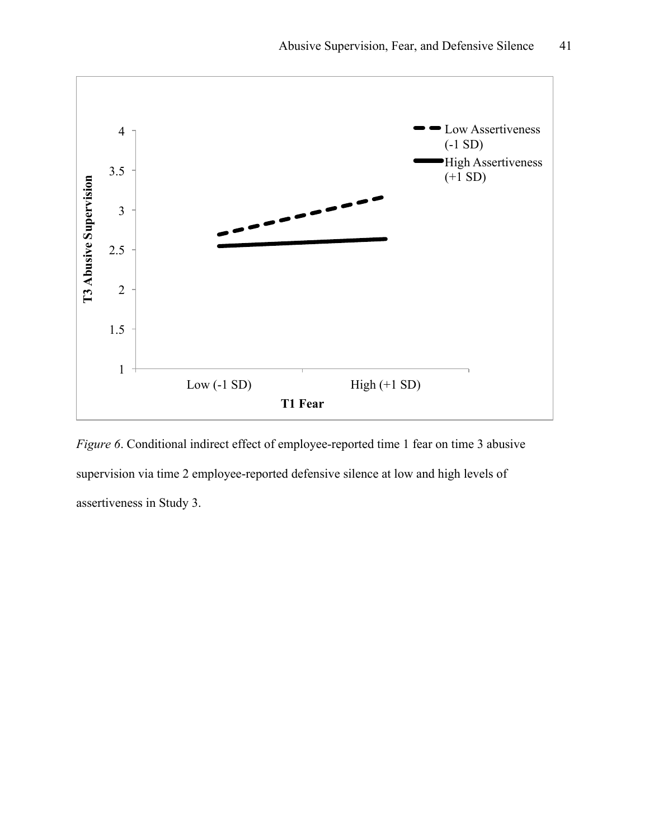

*Figure 6*. Conditional indirect effect of employee-reported time 1 fear on time 3 abusive supervision via time 2 employee-reported defensive silence at low and high levels of assertiveness in Study 3.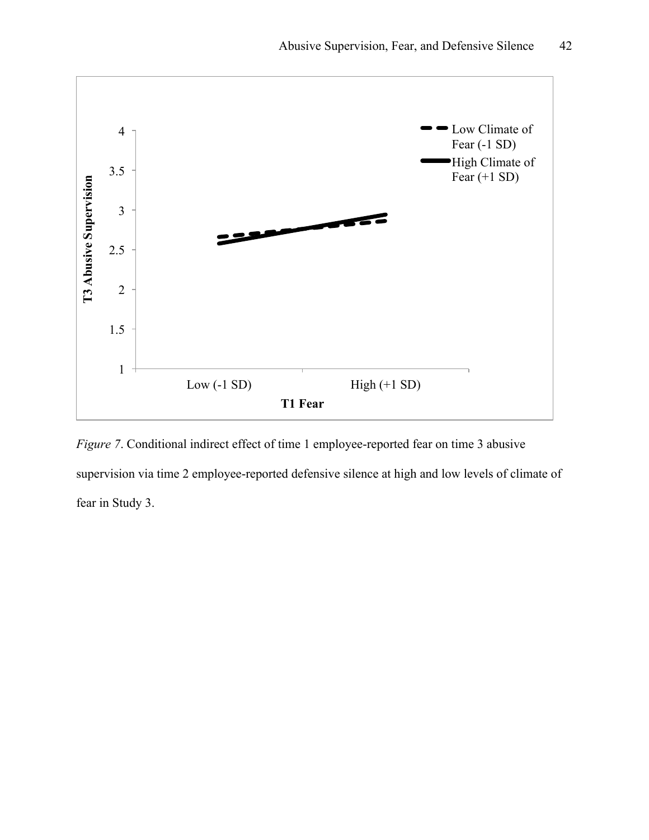

*Figure 7*. Conditional indirect effect of time 1 employee-reported fear on time 3 abusive supervision via time 2 employee-reported defensive silence at high and low levels of climate of fear in Study 3.